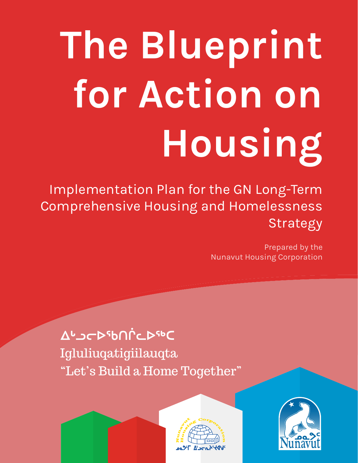# **The Blueprint for Action on Housing**

Implementation Plan for the GN Long-Term Comprehensive Housing and Homelessness Strategy

> Prepared by the Nunavut Housing Corporation

**ᐃᒡᓗᓕᐅᖃᑎᒌᓚᐅᖅᑕ** Igluliuqatigiilauqta "Let's Build a Home Together"



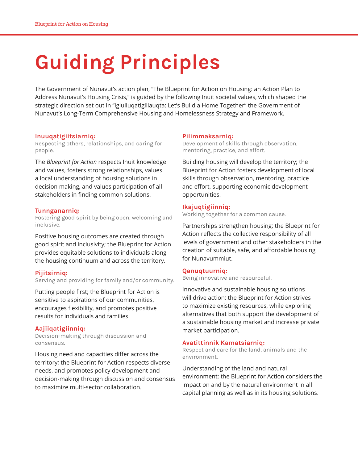## **Guiding Principles**

The Government of Nunavut's action plan, "The Blueprint for Action on Housing: an Action Plan to Address Nunavut's Housing Crisis," is guided by the following Inuit societal values, which shaped the strategic direction set out in "Igluliuqatigiilauqta: Let's Build a Home Together" the Government of Nunavut's Long-Term Comprehensive Housing and Homelessness Strategy and Framework.

#### **Inuuqatigiitsiarniq:**

Respecting others, relationships, and caring for people.

The *Blueprint for Action* respects Inuit knowledge and values, fosters strong relationships, values a local understanding of housing solutions in decision making, and values participation of all stakeholders in finding common solutions.

#### **Tunnganarniq:**

Fostering good spirit by being open, welcoming and inclusive.

Positive housing outcomes are created through good spirit and inclusivity; the Blueprint for Action provides equitable solutions to individuals along the housing continuum and across the territory.

#### **Pijitsirniq:**

Serving and providing for family and/or community.

Putting people first; the Blueprint for Action is sensitive to aspirations of our communities, encourages flexibility, and promotes positive results for individuals and families.

#### **Aajiiqatigiinniq:**

Decision-making through discussion and consensus.

Housing need and capacities differ across the territory; the Blueprint for Action respects diverse needs, and promotes policy development and decision-making through discussion and consensus to maximize multi-sector collaboration.

#### **Pilimmaksarniq:**

Development of skills through observation, mentoring, practice, and effort.

Building housing will develop the territory; the Blueprint for Action fosters development of local skills through observation, mentoring, practice and effort, supporting economic development opportunities.

#### **Ikajuqtigiinniq:**

Working together for a common cause.

Partnerships strengthen housing; the Blueprint for Action reflects the collective responsibility of all levels of government and other stakeholders in the creation of suitable, safe, and affordable housing for Nunavummiut.

#### **Qanuqtuurniq:**

Being innovative and resourceful.

Innovative and sustainable housing solutions will drive action; the Blueprint for Action strives to maximize existing resources, while exploring alternatives that both support the development of a sustainable housing market and increase private market participation.

#### **Avatittinnik Kamatsiarniq:**

Respect and care for the land, animals and the environment.

Understanding of the land and natural environment; the Blueprint for Action considers the impact on and by the natural environment in all capital planning as well as in its housing solutions.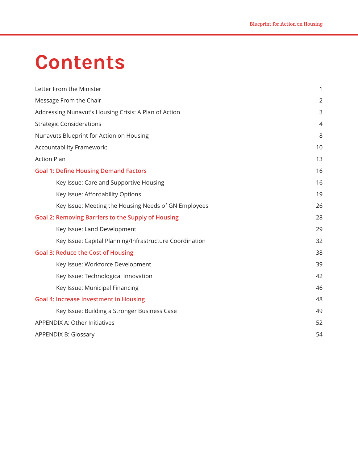## **Contents**

| Letter From the Minister                                  | 1              |
|-----------------------------------------------------------|----------------|
| Message From the Chair                                    | $\overline{2}$ |
| Addressing Nunavut's Housing Crisis: A Plan of Action     | 3              |
| <b>Strategic Considerations</b>                           | 4              |
| Nunavuts Blueprint for Action on Housing                  | 8              |
| Accountability Framework:                                 | 10             |
| <b>Action Plan</b>                                        | 13             |
| <b>Goal 1: Define Housing Demand Factors</b>              | 16             |
| Key Issue: Care and Supportive Housing                    | 16             |
| Key Issue: Affordability Options                          | 19             |
| Key Issue: Meeting the Housing Needs of GN Employees      | 26             |
| <b>Goal 2: Removing Barriers to the Supply of Housing</b> | 28             |
| Key Issue: Land Development                               | 29             |
| Key Issue: Capital Planning/Infrastructure Coordination   | 32             |
| <b>Goal 3: Reduce the Cost of Housing</b>                 | 38             |
| Key Issue: Workforce Development                          | 39             |
| Key Issue: Technological Innovation                       | 42             |
| Key Issue: Municipal Financing                            | 46             |
| <b>Goal 4: Increase Investment in Housing</b>             | 48             |
| Key Issue: Building a Stronger Business Case              | 49             |
| APPENDIX A: Other Initiatives                             | 52             |
| <b>APPENDIX B: Glossary</b>                               | 54             |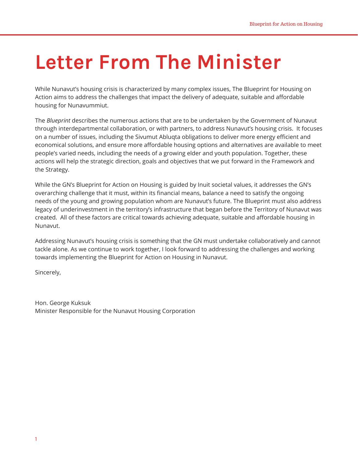## **Letter From The Minister**

While Nunavut's housing crisis is characterized by many complex issues, The Blueprint for Housing on Action aims to address the challenges that impact the delivery of adequate, suitable and affordable housing for Nunavummiut.

The *Blueprint* describes the numerous actions that are to be undertaken by the Government of Nunavut through interdepartmental collaboration, or with partners, to address Nunavut's housing crisis. It focuses on a number of issues, including the Sivumut Abluqta obligations to deliver more energy efficient and economical solutions, and ensure more affordable housing options and alternatives are available to meet people's varied needs, including the needs of a growing elder and youth population. Together, these actions will help the strategic direction, goals and objectives that we put forward in the Framework and the Strategy.

While the GN's Blueprint for Action on Housing is guided by Inuit societal values, it addresses the GN's overarching challenge that it must, within its financial means, balance a need to satisfy the ongoing needs of the young and growing population whom are Nunavut's future. The Blueprint must also address legacy of underinvestment in the territory's infrastructure that began before the Territory of Nunavut was created. All of these factors are critical towards achieving adequate, suitable and affordable housing in Nunavut.

Addressing Nunavut's housing crisis is something that the GN must undertake collaboratively and cannot tackle alone. As we continue to work together, I look forward to addressing the challenges and working towards implementing the Blueprint for Action on Housing in Nunavut.

Sincerely,

Hon. George Kuksuk Minister Responsible for the Nunavut Housing Corporation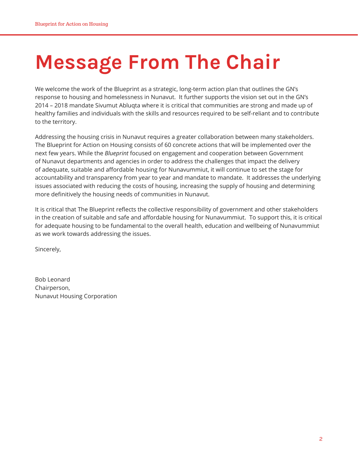## **Message From The Chair**

We welcome the work of the Blueprint as a strategic, long-term action plan that outlines the GN's response to housing and homelessness in Nunavut. It further supports the vision set out in the GN's 2014 – 2018 mandate Sivumut Abluqta where it is critical that communities are strong and made up of healthy families and individuals with the skills and resources required to be self-reliant and to contribute to the territory.

Addressing the housing crisis in Nunavut requires a greater collaboration between many stakeholders. The Blueprint for Action on Housing consists of 60 concrete actions that will be implemented over the next few years. While the *Blueprint* focused on engagement and cooperation between Government of Nunavut departments and agencies in order to address the challenges that impact the delivery of adequate, suitable and affordable housing for Nunavummiut, it will continue to set the stage for accountability and transparency from year to year and mandate to mandate. It addresses the underlying issues associated with reducing the costs of housing, increasing the supply of housing and determining more definitively the housing needs of communities in Nunavut.

It is critical that The Blueprint reflects the collective responsibility of government and other stakeholders in the creation of suitable and safe and affordable housing for Nunavummiut. To support this, it is critical for adequate housing to be fundamental to the overall health, education and wellbeing of Nunavummiut as we work towards addressing the issues.

Sincerely,

Bob Leonard Chairperson, Nunavut Housing Corporation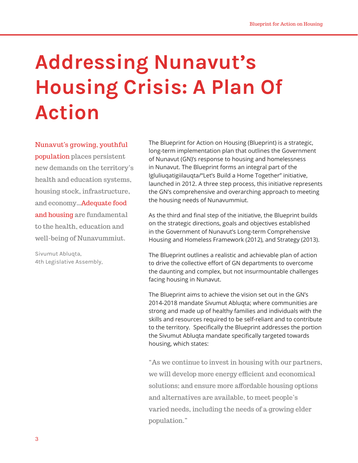## **Addressing Nunavut's Housing Crisis: A Plan Of Action**

Nunavut's growing, youthful

population places persistent new demands on the territory's health and education systems, housing stock, infrastructure, and economy…Adequate food and housing are fundamental to the health, education and well-being of Nunavummiut.

Sivumut Abluqta, 4th Legislative Assembly, The Blueprint for Action on Housing (Blueprint) is a strategic, long-term implementation plan that outlines the Government of Nunavut (GN)'s response to housing and homelessness in Nunavut. The Blueprint forms an integral part of the Igluliuqatigiilauqta/"Let's Build a Home Together" initiative, launched in 2012. A three step process, this initiative represents the GN's comprehensive and overarching approach to meeting the housing needs of Nunavummiut.

As the third and final step of the initiative, the Blueprint builds on the strategic directions, goals and objectives established in the Government of Nunavut's Long-term Comprehensive Housing and Homeless Framework (2012), and Strategy (2013).

The Blueprint outlines a realistic and achievable plan of action to drive the collective effort of GN departments to overcome the daunting and complex, but not insurmountable challenges facing housing in Nunavut.

The Blueprint aims to achieve the vision set out in the GN's 2014-2018 mandate Sivumut Abluqta; where communities are strong and made up of healthy families and individuals with the skills and resources required to be self-reliant and to contribute to the territory. Specifically the Blueprint addresses the portion the Sivumut Abluqta mandate specifically targeted towards housing, which states:

"As we continue to invest in housing with our partners, we will develop more energy efficient and economical solutions; and ensure more affordable housing options and alternatives are available, to meet people's varied needs, including the needs of a growing elder population."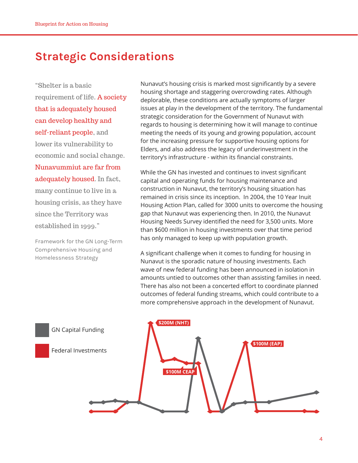## **Strategic Considerations**

"Shelter is a basic requirement of life. A society that is adequately housed can develop healthy and self-reliant people, and lower its vulnerability to economic and social change. Nunavummiut are far from adequately housed. In fact, many continue to live in a housing crisis, as they have since the Territory was established in 1999."

Framework for the GN Long-Term Comprehensive Housing and Homelessness Strategy

Nunavut's housing crisis is marked most significantly by a severe housing shortage and staggering overcrowding rates. Although deplorable, these conditions are actually symptoms of larger issues at play in the development of the territory. The fundamental strategic consideration for the Government of Nunavut with regards to housing is determining how it will manage to continue meeting the needs of its young and growing population, account for the increasing pressure for supportive housing options for Elders, and also address the legacy of underinvestment in the territory's infrastructure - within its financial constraints.

While the GN has invested and continues to invest significant capital and operating funds for housing maintenance and construction in Nunavut, the territory's housing situation has remained in crisis since its inception. In 2004, the 10 Year Inuit Housing Action Plan, called for 3000 units to overcome the housing gap that Nunavut was experiencing then. In 2010, the Nunavut Housing Needs Survey identified the need for 3,500 units. More than \$600 million in housing investments over that time period has only managed to keep up with population growth.

A significant challenge when it comes to funding for housing in Nunavut is the sporadic nature of housing investments. Each wave of new federal funding has been announced in isolation in amounts untied to outcomes other than assisting families in need. There has also not been a concerted effort to coordinate planned outcomes of federal funding streams, which could contribute to a more comprehensive approach in the development of Nunavut.

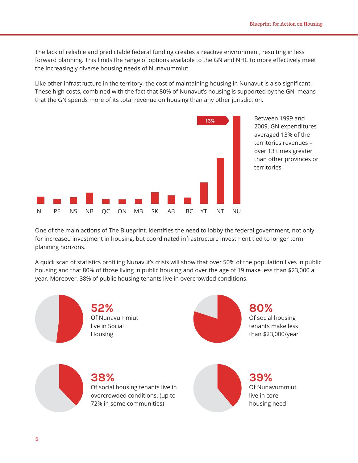The lack of reliable and predictable federal funding creates a reactive environment, resulting in less forward planning. This limits the range of options available to the GN and NHC to more effectively meet the increasingly diverse housing needs of Nunavummiut.

Like other infrastructure in the territory, the cost of maintaining housing in Nunavut is also significant. These high costs, combined with the fact that 80% of Nunavut's housing is supported by the GN, means that the GN spends more of its total revenue on housing than any other jurisdiction.



Between 1999 and 2009, GN expenditures averaged 13% of the territories revenues – over 13 times greater than other provinces or territories.

One of the main actions of The Blueprint, identifies the need to lobby the federal government, not only for increased investment in housing, but coordinated infrastructure investment tied to longer term planning horizons.

A quick scan of statistics profiling Nunavut's crisis will show that over 50% of the population lives in public housing and that 80% of those living in public housing and over the age of 19 make less than \$23,000 a year. Moreover, 38% of public housing tenants live in overcrowded conditions.

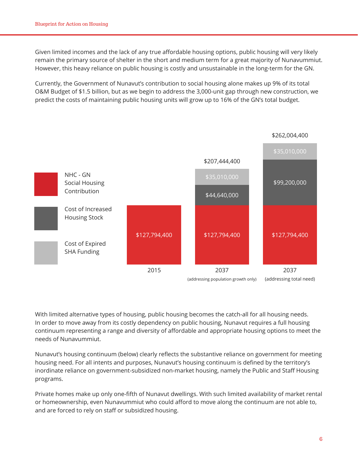Given limited incomes and the lack of any true affordable housing options, public housing will very likely remain the primary source of shelter in the short and medium term for a great majority of Nunavummiut. However, this heavy reliance on public housing is costly and unsustainable in the long-term for the GN.

Currently, the Government of Nunavut's contribution to social housing alone makes up 9% of its total O&M Budget of \$1.5 billion, but as we begin to address the 3,000-unit gap through new construction, we predict the costs of maintaining public housing units will grow up to 16% of the GN's total budget.



With limited alternative types of housing, public housing becomes the catch-all for all housing needs. In order to move away from its costly dependency on public housing, Nunavut requires a full housing continuum representing a range and diversity of affordable and appropriate housing options to meet the needs of Nunavummiut.

Nunavut's housing continuum (below) clearly reflects the substantive reliance on government for meeting housing need. For all intents and purposes, Nunavut's housing continuum is defined by the territory's inordinate reliance on government-subsidized non-market housing, namely the Public and Staff Housing programs.

Private homes make up only one-fifth of Nunavut dwellings. With such limited availability of market rental or homeownership, even Nunavummiut who could afford to move along the continuum are not able to, and are forced to rely on staff or subsidized housing.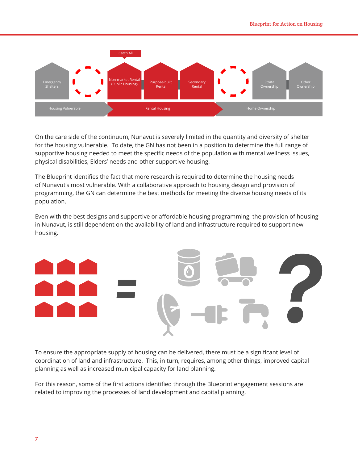

On the care side of the continuum, Nunavut is severely limited in the quantity and diversity of shelter for the housing vulnerable. To date, the GN has not been in a position to determine the full range of supportive housing needed to meet the specific needs of the population with mental wellness issues, physical disabilities, Elders' needs and other supportive housing.

The Blueprint identifies the fact that more research is required to determine the housing needs of Nunavut's most vulnerable. With a collaborative approach to housing design and provision of programming, the GN can determine the best methods for meeting the diverse housing needs of its population.

Even with the best designs and supportive or affordable housing programming, the provision of housing in Nunavut, is still dependent on the availability of land and infrastructure required to support new housing.



To ensure the appropriate supply of housing can be delivered, there must be a significant level of coordination of land and infrastructure. This, in turn, requires, among other things, improved capital planning as well as increased municipal capacity for land planning.

For this reason, some of the first actions identified through the Blueprint engagement sessions are related to improving the processes of land development and capital planning.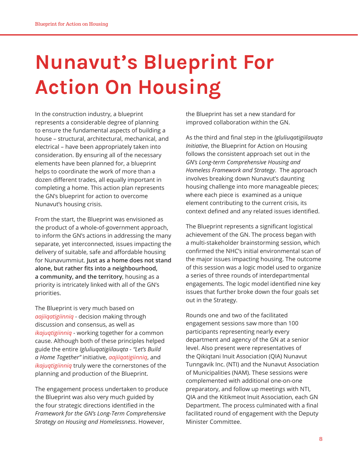## **Nunavut's Blueprint For Action On Housing**

In the construction industry, a blueprint represents a considerable degree of planning to ensure the fundamental aspects of building a house – structural, architectural, mechanical, and electrical – have been appropriately taken into consideration. By ensuring all of the necessary elements have been planned for, a blueprint helps to coordinate the work of more than a dozen different trades, all equally important in completing a home. This action plan represents the GN's blueprint for action to overcome Nunavut's housing crisis.

From the start, the Blueprint was envisioned as the product of a whole-of-government approach, to inform the GN's actions in addressing the many separate, yet interconnected, issues impacting the delivery of suitable, safe and affordable housing for Nunavummiut. **Just as a home does not stand alone, but rather fits into a neighbourhood, a community, and the territory**, housing as a priority is intricately linked with all of the GN's priorities.

The Blueprint is very much based on *aajiiqatigiinniq* - decision making through discussion and consensus, as well as *ikajuqtigiinniq* - working together for a common cause. Although both of these principles helped guide the entire *Igluliuqatigiilauqta - "Let's Build a Home Together"* initiative, *aajiiqatigiinniq*, and *ikajuqtigiinniq* truly were the cornerstones of the planning and production of the Blueprint.

The engagement process undertaken to produce the Blueprint was also very much guided by the four strategic directions identified in the *Framework for the GN's Long-Term Comprehensive Strategy on Housing and Homelessness*. However,

the Blueprint has set a new standard for improved collaboration within the GN.

As the third and final step in the *Igluliuqatigiilauqta Initiative*, the Blueprint for Action on Housing follows the consistent approach set out in the *GN's Long-term Comprehensive Housing and Homeless Framework and Strategy*. The approach involves breaking down Nunavut's daunting housing challenge into more manageable pieces; where each piece is examined as a unique element contributing to the current crisis, its context defined and any related issues identified.

The Blueprint represents a significant logistical achievement of the GN. The process began with a multi-stakeholder brainstorming session, which confirmed the NHC's initial environmental scan of the major issues impacting housing. The outcome of this session was a logic model used to organize a series of three rounds of interdepartmental engagements. The logic model identified nine key issues that further broke down the four goals set out in the Strategy.

Rounds one and two of the facilitated engagement sessions saw more than 100 participants representing nearly every department and agency of the GN at a senior level. Also present were representatives of the Qikiqtani Inuit Association (QIA) Nunavut Tunngavik Inc. (NTI) and the Nunavut Association of Municipalities (NAM). These sessions were complemented with additional one-on-one preparatory, and follow up meetings with NTI, QIA and the Kitikmeot Inuit Association, each GN Department. The process culminated with a final facilitated round of engagement with the Deputy Minister Committee.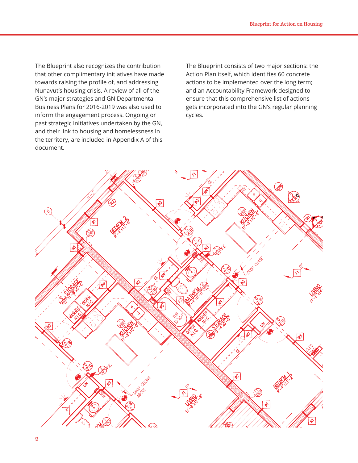The Blueprint also recognizes the contribution that other complimentary initiatives have made towards raising the profile of, and addressing Nunavut's housing crisis. A review of all of the GN's major strategies and GN Departmental Business Plans for 2016-2019 was also used to inform the engagement process. Ongoing or past strategic initiatives undertaken by the GN, and their link to housing and homelessness in the territory, are included in Appendix A of this document.

The Blueprint consists of two major sections: the Action Plan itself, which identifies 60 concrete actions to be implemented over the long term; and an Accountability Framework designed to ensure that this comprehensive list of actions gets incorporated into the GN's regular planning cycles.

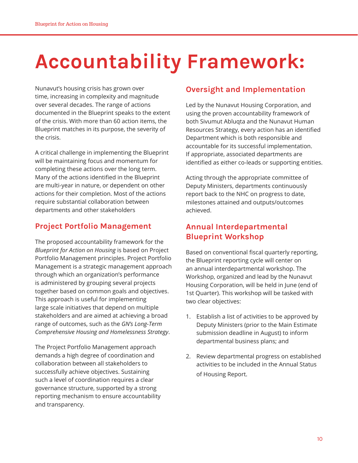## **Accountability Framework:**

Nunavut's housing crisis has grown over time, increasing in complexity and magnitude over several decades. The range of actions documented in the Blueprint speaks to the extent of the crisis. With more than 60 action items, the Blueprint matches in its purpose, the severity of the crisis.

A critical challenge in implementing the Blueprint will be maintaining focus and momentum for completing these actions over the long term. Many of the actions identified in the Blueprint are multi-year in nature, or dependent on other actions for their completion. Most of the actions require substantial collaboration between departments and other stakeholders

## **Project Portfolio Management**

The proposed accountability framework for the *Blueprint for Action on Housing* is based on Project Portfolio Management principles. Project Portfolio Management is a strategic management approach through which an organization's performance is administered by grouping several projects together based on common goals and objectives. This approach is useful for implementing large scale initiatives that depend on multiple stakeholders and are aimed at achieving a broad range of outcomes, such as the *GN's Long-Term Comprehensive Housing and Homelessness Strategy*.

The Project Portfolio Management approach demands a high degree of coordination and collaboration between all stakeholders to successfully achieve objectives. Sustaining such a level of coordination requires a clear governance structure, supported by a strong reporting mechanism to ensure accountability and transparency.

## **Oversight and Implementation**

Led by the Nunavut Housing Corporation, and using the proven accountability framework of both Sivumut Abluqta and the Nunavut Human Resources Strategy, every action has an identified Department which is both responsible and accountable for its successful implementation. If appropriate, associated departments are identified as either co-leads or supporting entities.

Acting through the appropriate committee of Deputy Ministers, departments continuously report back to the NHC on progress to date, milestones attained and outputs/outcomes achieved.

### **Annual Interdepartmental Blueprint Workshop**

Based on conventional fiscal quarterly reporting, the Blueprint reporting cycle will center on an annual interdepartmental workshop. The Workshop, organized and lead by the Nunavut Housing Corporation, will be held in June (end of 1st Quarter). This workshop will be tasked with two clear objectives:

- 1. Establish a list of activities to be approved by Deputy Ministers (prior to the Main Estimate submission deadline in August) to inform departmental business plans; and
- 2. Review departmental progress on established activities to be included in the Annual Status of Housing Report.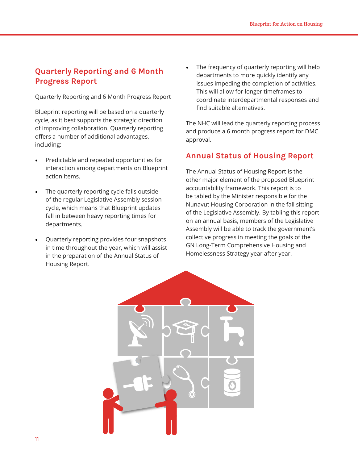### **Quarterly Reporting and 6 Month Progress Report**

Quarterly Reporting and 6 Month Progress Report

Blueprint reporting will be based on a quarterly cycle, as it best supports the strategic direction of improving collaboration. Quarterly reporting offers a number of additional advantages, including:

- Predictable and repeated opportunities for interaction among departments on Blueprint action items.
- The quarterly reporting cycle falls outside of the regular Legislative Assembly session cycle, which means that Blueprint updates fall in between heavy reporting times for departments.
- Quarterly reporting provides four snapshots in time throughout the year, which will assist in the preparation of the Annual Status of Housing Report.

The frequency of quarterly reporting will help departments to more quickly identify any issues impeding the completion of activities. This will allow for longer timeframes to coordinate interdepartmental responses and find suitable alternatives.

The NHC will lead the quarterly reporting process and produce a 6 month progress report for DMC approval.

#### **Annual Status of Housing Report**

The Annual Status of Housing Report is the other major element of the proposed Blueprint accountability framework. This report is to be tabled by the Minister responsible for the Nunavut Housing Corporation in the fall sitting of the Legislative Assembly. By tabling this report on an annual basis, members of the Legislative Assembly will be able to track the government's collective progress in meeting the goals of the GN Long-Term Comprehensive Housing and Homelessness Strategy year after year.

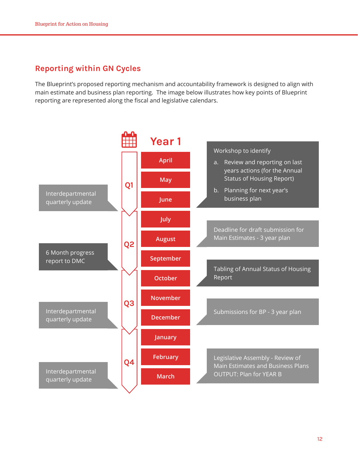### **Reporting within GN Cycles**

The Blueprint's proposed reporting mechanism and accountability framework is designed to align with main estimate and business plan reporting. The image below illustrates how key points of Blueprint reporting are represented along the fiscal and legislative calendars.

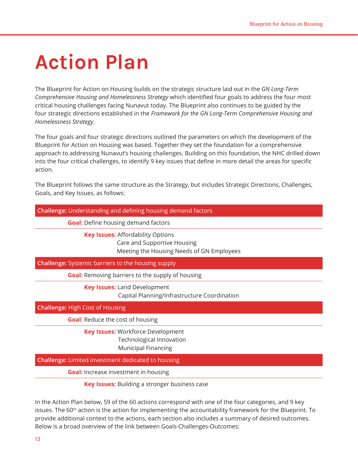## **Action Plan**

The Blueprint for Action on Housing builds on the strategic structure laid out in the *GN Long-Term Comprehensive Housing and Homelessness Strategy* which identified four goals to address the four most critical housing challenges facing Nunavut today. The Blueprint also continues to be guided by the four strategic directions established in the *Framework for the GN Long-Term Comprehensive Housing and Homelessness Strategy*.

The four goals and four strategic directions outlined the parameters on which the development of the Blueprint for Action on Housing was based. Together they set the foundation for a comprehensive approach to addressing Nunavut's housing challenges. Building on this foundation, the NHC drilled down into the four critical challenges, to identify 9 key issues that define in more detail the areas for specific action.

The Blueprint follows the same structure as the Strategy, but includes Strategic Directions, Challenges, Goals, and Key Issues, as follows:

| <b>Challenge:</b> Understanding and defining housing demand factors                                                  |
|----------------------------------------------------------------------------------------------------------------------|
| <b>Goal:</b> Define housing demand factors                                                                           |
| <b>Key Issues: Affordability Options</b><br>Care and Supportive Housing<br>Meeting the Housing Needs of GN Employees |
| <b>Challenge:</b> Systemic barriers to the housing supply                                                            |
| <b>Goal:</b> Removing barriers to the supply of housing                                                              |
| <b>Key Issues: Land Development</b><br>Capital Planning/Infrastructure Coordination                                  |
| <b>Challenge: High Cost of Housing</b>                                                                               |
| <b>Goal:</b> Reduce the cost of housing                                                                              |
| <b>Key Issues: Workforce Development</b><br>Technological Innovation<br><b>Municipal Financing</b>                   |
| <b>Challenge:</b> Limited investment dedicated to housing                                                            |
| <b>Goal:</b> Increase investment in housing                                                                          |
| <b>Key Issues:</b> Building a stronger business case                                                                 |
| In the Action Dlan below. EQ of the 60 actions serrospond with one of the four sategories, and Q key                 |

In the Action Plan below, 59 of the 60 actions correspond with one of the four categories, and 9 key issues. The 60<sup>th</sup> action is the action for implementing the accountability framework for the Blueprint. To provide additional context to the actions, each section also includes a summary of desired outcomes. Below is a broad overview of the link between Goals-Challenges-Outcomes: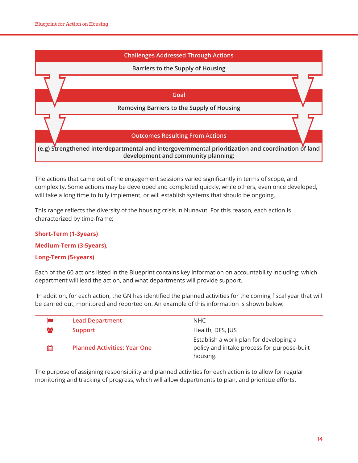

The actions that came out of the engagement sessions varied significantly in terms of scope, and complexity. Some actions may be developed and completed quickly, while others, even once developed, will take a long time to fully implement, or will establish systems that should be ongoing.

This range reflects the diversity of the housing crisis in Nunavut. For this reason, each action is characterized by time-frame;

#### **Short-Term (1-3years)**

**Medium-Term (3-5years),** 

#### **Long-Term (5+years)**

Each of the 60 actions listed in the Blueprint contains key information on accountability including: which department will lead the action, and what departments will provide support.

 In addition, for each action, the GN has identified the planned activities for the coming fiscal year that will be carried out, monitored and reported on. An example of this information is shown below:

|    | <b>Lead Department</b>              | NHC.                                                                                              |
|----|-------------------------------------|---------------------------------------------------------------------------------------------------|
| ಹಿ | <b>Support</b>                      | Health, DFS, JUS                                                                                  |
| 鯩  | <b>Planned Activities: Year One</b> | Establish a work plan for developing a<br>policy and intake process for purpose-built<br>housing. |

The purpose of assigning responsibility and planned activities for each action is to allow for regular monitoring and tracking of progress, which will allow departments to plan, and prioritize efforts.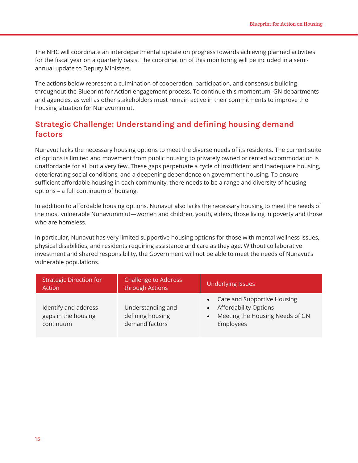The NHC will coordinate an interdepartmental update on progress towards achieving planned activities for the fiscal year on a quarterly basis. The coordination of this monitoring will be included in a semiannual update to Deputy Ministers.

The actions below represent a culmination of cooperation, participation, and consensus building throughout the Blueprint for Action engagement process. To continue this momentum, GN departments and agencies, as well as other stakeholders must remain active in their commitments to improve the housing situation for Nunavummiut.

### **Strategic Challenge: Understanding and defining housing demand factors**

Nunavut lacks the necessary housing options to meet the diverse needs of its residents. The current suite of options is limited and movement from public housing to privately owned or rented accommodation is unaffordable for all but a very few. These gaps perpetuate a cycle of insufficient and inadequate housing, deteriorating social conditions, and a deepening dependence on government housing. To ensure sufficient affordable housing in each community, there needs to be a range and diversity of housing options – a full continuum of housing.

In addition to affordable housing options, Nunavut also lacks the necessary housing to meet the needs of the most vulnerable Nunavummiut—women and children, youth, elders, those living in poverty and those who are homeless.

In particular, Nunavut has very limited supportive housing options for those with mental wellness issues, physical disabilities, and residents requiring assistance and care as they age. Without collaborative investment and shared responsibility, the Government will not be able to meet the needs of Nunavut's vulnerable populations.

| <b>Strategic Direction for</b><br>Action                 | <b>Challenge to Address</b><br>through Actions          | <b>Underlying Issues</b>                                                                                              |  |
|----------------------------------------------------------|---------------------------------------------------------|-----------------------------------------------------------------------------------------------------------------------|--|
| Identify and address<br>gaps in the housing<br>continuum | Understanding and<br>defining housing<br>demand factors | • Care and Supportive Housing<br>• Affordability Options<br>Meeting the Housing Needs of GN<br>$\bullet$<br>Employees |  |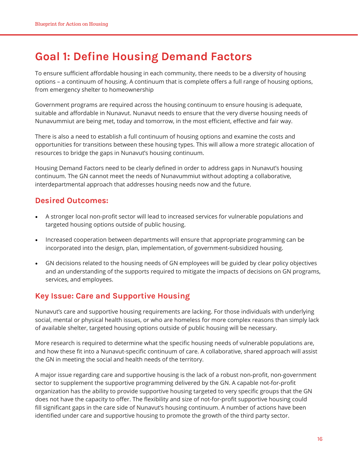## **Goal 1: Define Housing Demand Factors**

To ensure sufficient affordable housing in each community, there needs to be a diversity of housing options – a continuum of housing. A continuum that is complete offers a full range of housing options, from emergency shelter to homeownership

Government programs are required across the housing continuum to ensure housing is adequate, suitable and affordable in Nunavut. Nunavut needs to ensure that the very diverse housing needs of Nunavummiut are being met, today and tomorrow, in the most efficient, effective and fair way.

There is also a need to establish a full continuum of housing options and examine the costs and opportunities for transitions between these housing types. This will allow a more strategic allocation of resources to bridge the gaps in Nunavut's housing continuum.

Housing Demand Factors need to be clearly defined in order to address gaps in Nunavut's housing continuum. The GN cannot meet the needs of Nunavummiut without adopting a collaborative, interdepartmental approach that addresses housing needs now and the future.

#### **Desired Outcomes:**

- A stronger local non-profit sector will lead to increased services for vulnerable populations and targeted housing options outside of public housing.
- Increased cooperation between departments will ensure that appropriate programming can be incorporated into the design, plan, implementation, of government-subsidized housing.
- GN decisions related to the housing needs of GN employees will be guided by clear policy objectives and an understanding of the supports required to mitigate the impacts of decisions on GN programs, services, and employees.

#### **Key Issue: Care and Supportive Housing**

Nunavut's care and supportive housing requirements are lacking. For those individuals with underlying social, mental or physical health issues, or who are homeless for more complex reasons than simply lack of available shelter, targeted housing options outside of public housing will be necessary.

More research is required to determine what the specific housing needs of vulnerable populations are, and how these fit into a Nunavut-specific continuum of care. A collaborative, shared approach will assist the GN in meeting the social and health needs of the territory.

A major issue regarding care and supportive housing is the lack of a robust non-profit, non-government sector to supplement the supportive programming delivered by the GN. A capable not-for-profit organization has the ability to provide supportive housing targeted to very specific groups that the GN does not have the capacity to offer. The flexibility and size of not-for-profit supportive housing could fill significant gaps in the care side of Nunavut's housing continuum. A number of actions have been identified under care and supportive housing to promote the growth of the third party sector.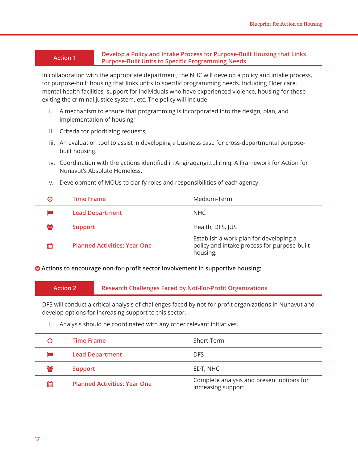#### **Action 1 Develop a Policy and Intake Process for Purpose-Built Housing that Links Purpose-Built Units to Specific Programming Needs**

In collaboration with the appropriate department, the NHC will develop a policy and intake process, for purpose-built housing that links units to specific programming needs. Including Elder care, mental health facilities, support for individuals who have experienced violence, housing for those exiting the criminal justice system, etc. The policy will include:

- i. A mechanism to ensure that programming is incorporated into the design, plan, and implementation of housing;
- ii. Criteria for prioritizing requests;
- iii. An evaluation tool to assist in developing a business case for cross-departmental purposebuilt housing.
- iv. Coordination with the actions identified in Angiraqangittuliriniq: A Framework for Action for Nunavut's Absolute Homeless.

| Θ  | <b>Time Frame</b>                   | Medium-Term                                                                                       |
|----|-------------------------------------|---------------------------------------------------------------------------------------------------|
|    | <b>Lead Department</b>              | NHC.                                                                                              |
| ဆု | <b>Support</b>                      | Health, DFS, JUS                                                                                  |
| 鯩  | <b>Planned Activities: Year One</b> | Establish a work plan for developing a<br>policy and intake process for purpose-built<br>housing. |

v. Development of MOUs to clarify roles and responsibilities of each agency

 **Actions to encourage non-for-profit sector involvement in supportive housing:**

#### **Action 2 Research Challenges Faced by Not-For-Profit Organizations**

DFS will conduct a critical analysis of challenges faced by not-for-profit organizations in Nunavut and develop options for increasing support to this sector.

i. Analysis should be coordinated with any other relevant initiatives.

| Θ   | <b>Time Frame</b>                   | Short-Term                                                      |
|-----|-------------------------------------|-----------------------------------------------------------------|
|     | <b>Lead Department</b>              | <b>DFS</b>                                                      |
| ಕಿಂ | <b>Support</b>                      | EDT, NHC                                                        |
| 鯩   | <b>Planned Activities: Year One</b> | Complete analysis and present options for<br>increasing support |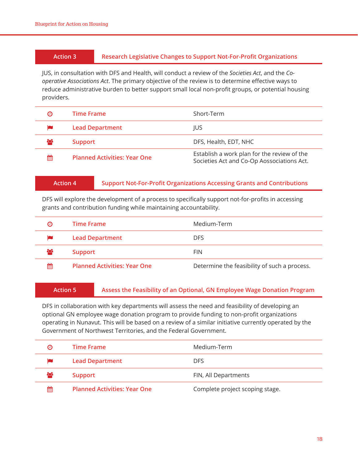#### **Action 3 Research Legislative Changes to Support Not-For-Profit Organizations**

JUS, in consultation with DFS and Health, will conduct a review of the *Societies Act*, and the *Cooperative Associations Act*. The primary objective of the review is to determine effective ways to reduce administrative burden to better support small local non-profit groups, or potential housing providers.

| Θ  | <b>Time Frame</b>                   | Short-Term                                                                                |
|----|-------------------------------------|-------------------------------------------------------------------------------------------|
|    | <b>Lead Department</b>              | <b>IUS</b>                                                                                |
| ಹಿ | <b>Support</b>                      | DFS, Health, EDT, NHC                                                                     |
| 鯩  | <b>Planned Activities: Year One</b> | Establish a work plan for the review of the<br>Societies Act and Co-Op Aossociations Act. |

| <b>Action 4</b> |  |  |  |
|-----------------|--|--|--|
|                 |  |  |  |
|                 |  |  |  |

#### **Action 4 Support Not-For-Profit Organizations Accessing Grants and Contributions**

DFS will explore the development of a process to specifically support not-for-profits in accessing grants and contribution funding while maintaining accountability.

| Θ        | <b>Time Frame</b>                   | Medium-Term                                  |
|----------|-------------------------------------|----------------------------------------------|
|          | <b>Lead Department</b>              | <b>DFS</b>                                   |
| $\infty$ | <b>Support</b>                      | <b>FIN</b>                                   |
| 雦        | <b>Planned Activities: Year One</b> | Determine the feasibility of such a process. |

#### **Action 5 Assess the Feasibility of an Optional, GN Employee Wage Donation Program**

DFS in collaboration with key departments will assess the need and feasibility of developing an optional GN employee wage donation program to provide funding to non-profit organizations operating in Nunavut. This will be based on a review of a similar initiative currently operated by the Government of Northwest Territories, and the Federal Government.

| Θ        | Time Frame                          | Medium-Term                     |
|----------|-------------------------------------|---------------------------------|
|          | <b>Lead Department</b>              | <b>DFS</b>                      |
| $\infty$ | <b>Support</b>                      | FIN, All Departments            |
| 雦        | <b>Planned Activities: Year One</b> | Complete project scoping stage. |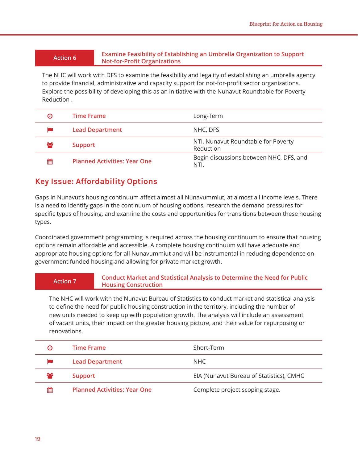#### **Action 6 Examine Feasibility of Establishing an Umbrella Organization to Support Not-for-Profit Organizations**

The NHC will work with DFS to examine the feasibility and legality of establishing an umbrella agency to provide financial, administrative and capacity support for not-for-profit sector organizations. Explore the possibility of developing this as an initiative with the Nunavut Roundtable for Poverty Reduction .

| Θ  | <b>Time Frame</b>                   | Long-Term                                        |
|----|-------------------------------------|--------------------------------------------------|
|    | <b>Lead Department</b>              | NHC, DFS                                         |
| ಹಿ | <b>Support</b>                      | NTI, Nunavut Roundtable for Poverty<br>Reduction |
| 鯩  | <b>Planned Activities: Year One</b> | Begin discussions between NHC, DFS, and<br>NTI.  |

### **Key Issue: Affordability Options**

Gaps in Nunavut's housing continuum affect almost all Nunavummiut, at almost all income levels. There is a need to identify gaps in the continuum of housing options, research the demand pressures for specific types of housing, and examine the costs and opportunities for transitions between these housing types.

Coordinated government programming is required across the housing continuum to ensure that housing options remain affordable and accessible. A complete housing continuum will have adequate and appropriate housing options for all Nunavummiut and will be instrumental in reducing dependence on government funded housing and allowing for private market growth.

| <b>Conduct Market and Statistical Analysis to Determine the Need for Public</b><br><b>Action 7</b><br><b>Housing Construction</b> |  |
|-----------------------------------------------------------------------------------------------------------------------------------|--|
|-----------------------------------------------------------------------------------------------------------------------------------|--|

The NHC will work with the Nunavut Bureau of Statistics to conduct market and statistical analysis to define the need for public housing construction in the territory, including the number of new units needed to keep up with population growth. The analysis will include an assessment of vacant units, their impact on the greater housing picture, and their value for repurposing or renovations.

| Θ   | Time Frame                          | Short-Term                               |
|-----|-------------------------------------|------------------------------------------|
|     | <b>Lead Department</b>              | NHC.                                     |
| 808 | Support                             | EIA (Nunavut Bureau of Statistics), CMHC |
| 鱛   | <b>Planned Activities: Year One</b> | Complete project scoping stage.          |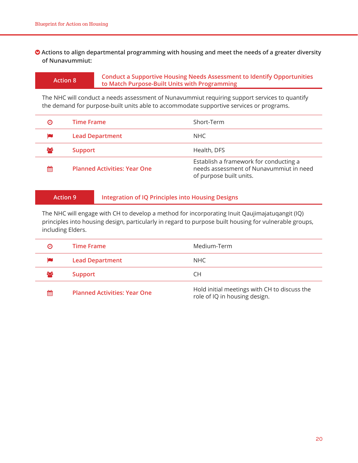#### $\diamond$  Actions to align departmental programming with housing and meet the needs of a greater diversity **of Nunavummiut:**

**Action 8 Conduct a Supportive Housing Needs Assessment to Identify Opportunities to Match Purpose-Built Units with Programming**

The NHC will conduct a needs assessment of Nunavummiut requiring support services to quantify the demand for purpose-built units able to accommodate supportive services or programs.

| Θ  | <b>Time Frame</b>                   | Short-Term                                                                                                   |
|----|-------------------------------------|--------------------------------------------------------------------------------------------------------------|
|    | <b>Lead Department</b>              | NHC                                                                                                          |
| ಹಿ | <b>Support</b>                      | Health, DFS                                                                                                  |
| 龠  | <b>Planned Activities: Year One</b> | Establish a framework for conducting a<br>needs assessment of Nunavummiut in need<br>of purpose built units. |

#### **Action 9 Integration of IQ Principles into Housing Designs**

The NHC will engage with CH to develop a method for incorporating Inuit Qaujimajatuqangit (IQ) principles into housing design, particularly in regard to purpose built housing for vulnerable groups, including Elders.

| Θ  | Time Frame                          | Medium-Term                                                                   |
|----|-------------------------------------|-------------------------------------------------------------------------------|
|    | <b>Lead Department</b>              | NHC                                                                           |
| ಹಿ | <b>Support</b>                      | CН                                                                            |
| 鯩  | <b>Planned Activities: Year One</b> | Hold initial meetings with CH to discuss the<br>role of IQ in housing design. |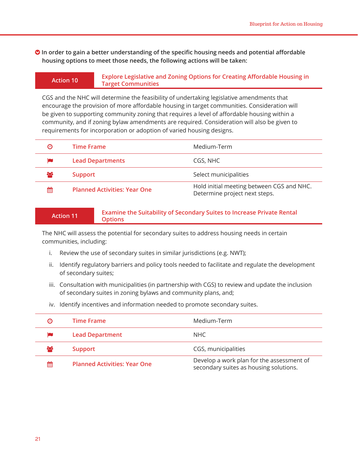$\bullet$  **In order to gain a better understanding of the specific housing needs and potential affordable housing options to meet those needs, the following actions will be taken:**

#### **Action 10 Explore Legislative and Zoning Options for Creating Affordable Housing in Target Communities**

CGS and the NHC will determine the feasibility of undertaking legislative amendments that encourage the provision of more affordable housing in target communities. Consideration will be given to supporting community zoning that requires a level of affordable housing within a community, and if zoning bylaw amendments are required. Consideration will also be given to requirements for incorporation or adoption of varied housing designs.

| Θ   | <b>Time Frame</b>                   | Medium-Term                                                                |
|-----|-------------------------------------|----------------------------------------------------------------------------|
|     | <b>Lead Departments</b>             | CGS, NHC                                                                   |
| 808 | <b>Support</b>                      | Select municipalities                                                      |
| 鯩   | <b>Planned Activities: Year One</b> | Hold initial meeting between CGS and NHC.<br>Determine project next steps. |

#### **Action 11 Examine the Suitability of Secondary Suites to Increase Private Rental Options**

The NHC will assess the potential for secondary suites to address housing needs in certain communities, including:

- i. Review the use of secondary suites in similar jurisdictions (e.g. NWT);
- ii. Identify regulatory barriers and policy tools needed to facilitate and regulate the development of secondary suites;
- iii. Consultation with municipalities (in partnership with CGS) to review and update the inclusion of secondary suites in zoning bylaws and community plans, and;
- iv. Identify incentives and information needed to promote secondary suites.

| Θ        | Time Frame                          | Medium-Term                                                                         |
|----------|-------------------------------------|-------------------------------------------------------------------------------------|
|          | <b>Lead Department</b>              | NHC                                                                                 |
| $\infty$ | <b>Support</b>                      | CGS, municipalities                                                                 |
| 鯩        | <b>Planned Activities: Year One</b> | Develop a work plan for the assessment of<br>secondary suites as housing solutions. |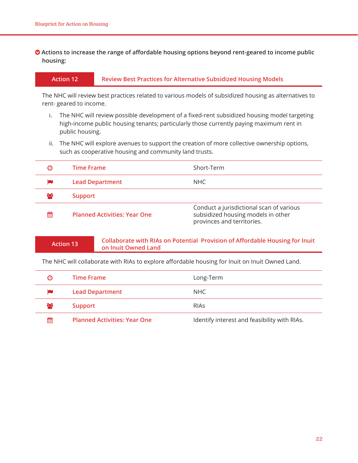#### $\diamond$  Actions to increase the range of affordable housing options beyond rent-geared to income public **housing:**

#### **Action 12 Review Best Practices for Alternative Subsidized Housing Models**

The NHC will review best practices related to various models of subsidized housing as alternatives to rent- geared to income.

- i. The NHC will review possible development of a fixed-rent subsidized housing model targeting high-income public housing tenants; particularly those currently paying maximum rent in public housing.
- ii. The NHC will explore avenues to support the creation of more collective ownership options, such as cooperative housing and community land trusts.

| Θ   | <b>Time Frame</b>                   | Short-Term                                                                                                   |
|-----|-------------------------------------|--------------------------------------------------------------------------------------------------------------|
|     | <b>Lead Department</b>              | NHC.                                                                                                         |
| 808 | <b>Support</b>                      |                                                                                                              |
| 鱛   | <b>Planned Activities: Year One</b> | Conduct a jurisdictional scan of various<br>subsidized housing models in other<br>provinces and territories. |

#### **Action 13 Collaborate with RIAs on Potential Provision of Affordable Housing for Inuit on Inuit Owned Land**

The NHC will collaborate with RIAs to explore affordable housing for Inuit on Inuit Owned Land.

| Θ            | <b>Time Frame</b>                   | Long-Term                                    |
|--------------|-------------------------------------|----------------------------------------------|
|              | <b>Lead Department</b>              | NHC.                                         |
| $\mathbf{c}$ | <b>Support</b>                      | <b>RIAS</b>                                  |
| ≝            | <b>Planned Activities: Year One</b> | Identify interest and feasibility with RIAs. |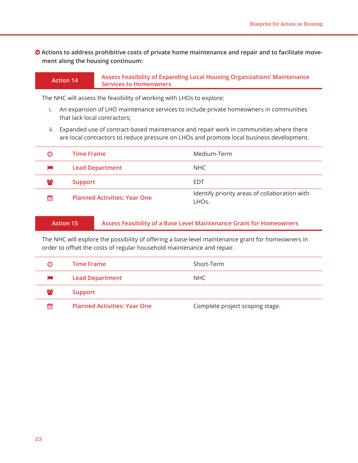$\bullet$  Actions to address prohibitive costs of private home maintenance and repair and to facilitate move**ment along the housing continuum:**

#### **Action 14 Assess Feasibility of Expanding Local Housing Organizations' Maintenance Services to Homeowners**

The NHC will assess the feasibility of working with LHOs to explore:

- i. An expansion of LHO maintenance services to include private homeowners in communities that lack local contractors;
- ii. Expanded use of contract-based maintenance and repair work in communities where there are local contractors to reduce pressure on LHOs and promote local business development.

| Θ   | <b>Time Frame</b>                   | Medium-Term                                            |
|-----|-------------------------------------|--------------------------------------------------------|
|     | <b>Lead Department</b>              | NHC.                                                   |
| 808 | <b>Support</b>                      | EDT                                                    |
| 雦   | <b>Planned Activities: Year One</b> | Identify priority areas of collaboration with<br>LHOs. |

**Action 15 Assess Feasibility of a Base Level Maintenance Grant for Homeowners**

The NHC will explore the possibility of offering a base-level maintenance grant for homeowners in order to offset the costs of regular household maintenance and repair.

| Θ  | <b>Time Frame</b>                   | Short-Term                      |
|----|-------------------------------------|---------------------------------|
|    | <b>Lead Department</b>              | NHC.                            |
| ಹಿ | <b>Support</b>                      |                                 |
| 雦  | <b>Planned Activities: Year One</b> | Complete project scoping stage. |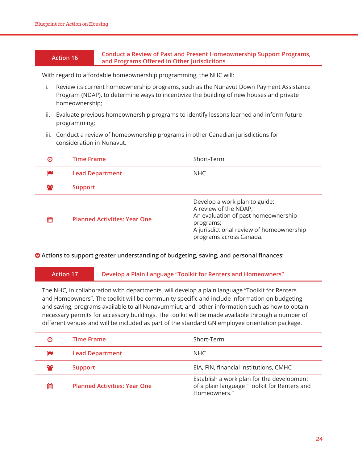#### **Action 16 Conduct a Review of Past and Present Homeownership Support Programs, and Programs Offered in Other Jurisdictions**

With regard to affordable homeownership programming, the NHC will:

- i. Review its current homeownership programs, such as the Nunavut Down Payment Assistance Program (NDAP), to determine ways to incentivize the building of new houses and private homeownership;
- ii. Evaluate previous homeownership programs to identify lessons learned and inform future programming;
- iii. Conduct a review of homeownership programs in other Canadian jurisdictions for consideration in Nunavut.

| Θ  | <b>Time Frame</b>                   | Short-Term                                                                                                                                                                        |
|----|-------------------------------------|-----------------------------------------------------------------------------------------------------------------------------------------------------------------------------------|
|    | <b>Lead Department</b>              | <b>NHC</b>                                                                                                                                                                        |
| ಹಿ | <b>Support</b>                      |                                                                                                                                                                                   |
| 鯩  | <b>Planned Activities: Year One</b> | Develop a work plan to guide:<br>A review of the NDAP;<br>An evaluation of past homeownership<br>programs;<br>A jurisdictional review of homeownership<br>programs across Canada. |

**• Actions to support greater understanding of budgeting, saving, and personal finances:** 

**Action 17 Develop a Plain Language "Toolkit for Renters and Homeowners"**

The NHC, in collaboration with departments, will develop a plain language "Toolkit for Renters and Homeowners". The toolkit will be community specific and include information on budgeting and saving, programs available to all Nunavummiut, and other information such as how to obtain necessary permits for accessory buildings. The toolkit will be made available through a number of different venues and will be included as part of the standard GN employee orientation package.

| ℗   | <b>Time Frame</b>                   | Short-Term                                                                                                |
|-----|-------------------------------------|-----------------------------------------------------------------------------------------------------------|
| p   | <b>Lead Department</b>              | NHC.                                                                                                      |
| 808 | <b>Support</b>                      | EIA, FIN, financial institutions, CMHC                                                                    |
| 鯩   | <b>Planned Activities: Year One</b> | Establish a work plan for the development<br>of a plain language "Toolkit for Renters and<br>Homeowners." |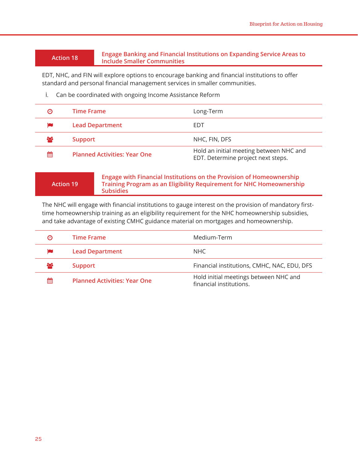#### **Action 18 Engage Banking and Financial Institutions on Expanding Service Areas to Include Smaller Communities**

EDT, NHC, and FIN will explore options to encourage banking and financial institutions to offer standard and personal financial management services in smaller communities.

i. Can be coordinated with ongoing Income Assistance Reform

| Θ   | <b>Time Frame</b>                   | Long-Term                                                                     |
|-----|-------------------------------------|-------------------------------------------------------------------------------|
|     | <b>Lead Department</b>              | EDT                                                                           |
| 808 | <b>Support</b>                      | NHC, FIN, DFS                                                                 |
| 鱛   | <b>Planned Activities: Year One</b> | Hold an initial meeting between NHC and<br>EDT. Determine project next steps. |

**Action 19**

**Engage with Financial Institutions on the Provision of Homeownership Training Program as an Eligibility Requirement for NHC Homeownership Subsidies**

The NHC will engage with financial institutions to gauge interest on the provision of mandatory firsttime homeownership training as an eligibility requirement for the NHC homeownership subsidies, and take advantage of existing CMHC guidance material on mortgages and homeownership.

| $\boldsymbol{\Theta}$ | Time Frame                          | Medium-Term                                                      |
|-----------------------|-------------------------------------|------------------------------------------------------------------|
|                       | <b>Lead Department</b>              | NHC .                                                            |
| 808                   | <b>Support</b>                      | Financial institutions, CMHC, NAC, EDU, DFS                      |
| 鯩                     | <b>Planned Activities: Year One</b> | Hold initial meetings between NHC and<br>financial institutions. |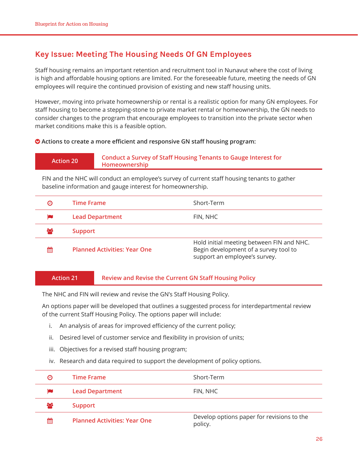## **Key Issue: Meeting The Housing Needs Of GN Employees**

Staff housing remains an important retention and recruitment tool in Nunavut where the cost of living is high and affordable housing options are limited. For the foreseeable future, meeting the needs of GN employees will require the continued provision of existing and new staff housing units.

However, moving into private homeownership or rental is a realistic option for many GN employees. For staff housing to become a stepping-stone to private market rental or homeownership, the GN needs to consider changes to the program that encourage employees to transition into the private sector when market conditions make this is a feasible option.

#### **Actions to create a more efficient and responsive GN staff housing program:**

#### **Action 20 Conduct a Survey of Staff Housing Tenants to Gauge Interest for Homeownership**

FIN and the NHC will conduct an employee's survey of current staff housing tenants to gather baseline information and gauge interest for homeownership.

| $\boldsymbol{\omega}$ | <b>Time Frame</b>                   | Short-Term                                                                                                          |
|-----------------------|-------------------------------------|---------------------------------------------------------------------------------------------------------------------|
|                       | <b>Lead Department</b>              | FIN, NHC                                                                                                            |
| ಹಿ                    | <b>Support</b>                      |                                                                                                                     |
| 鯩                     | <b>Planned Activities: Year One</b> | Hold initial meeting between FIN and NHC.<br>Begin development of a survey tool to<br>support an employee's survey. |

#### **Action 21 Review and Revise the Current GN Staff Housing Policy**

The NHC and FIN will review and revise the GN's Staff Housing Policy.

An options paper will be developed that outlines a suggested process for interdepartmental review of the current Staff Housing Policy. The options paper will include:

- i. An analysis of areas for improved efficiency of the current policy;
- ii. Desired level of customer service and flexibility in provision of units;
- iii. Objectives for a revised staff housing program;
- iv. Research and data required to support the development of policy options.

| Θ   | <b>Time Frame</b>                   | Short-Term                                            |
|-----|-------------------------------------|-------------------------------------------------------|
|     | <b>Lead Department</b>              | FIN, NHC                                              |
| 808 | <b>Support</b>                      |                                                       |
| 雦   | <b>Planned Activities: Year One</b> | Develop options paper for revisions to the<br>policy. |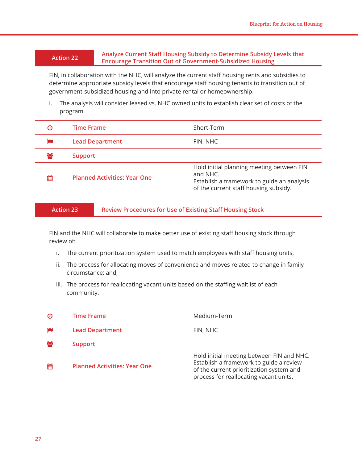#### **Action 22 Analyze Current Staff Housing Subsidy to Determine Subsidy Levels that Encourage Transition Out of Government-Subsidized Housing**

FIN, in collaboration with the NHC, will analyze the current staff housing rents and subsidies to determine appropriate subsidy levels that encourage staff housing tenants to transition out of government-subsidized housing and into private rental or homeownership.

i. The analysis will consider leased vs. NHC owned units to establish clear set of costs of the program

| Θ        | <b>Time Frame</b>                   | Short-Term                                                                                                                                   |
|----------|-------------------------------------|----------------------------------------------------------------------------------------------------------------------------------------------|
|          | <b>Lead Department</b>              | FIN, NHC                                                                                                                                     |
| $\infty$ | <b>Support</b>                      |                                                                                                                                              |
| 鯩        | <b>Planned Activities: Year One</b> | Hold initial planning meeting between FIN<br>and NHC.<br>Establish a framework to guide an analysis<br>of the current staff housing subsidy. |

**Action 23 Review Procedures for Use of Existing Staff Housing Stock**

FIN and the NHC will collaborate to make better use of existing staff housing stock through review of:

- i. The current prioritization system used to match employees with staff housing units,
- ii. The process for allocating moves of convenience and moves related to change in family circumstance; and,
- iii. The process for reallocating vacant units based on the staffing waitlist of each community.

| ℗        | <b>Time Frame</b>                   | Medium-Term                                                                                                                                                                |
|----------|-------------------------------------|----------------------------------------------------------------------------------------------------------------------------------------------------------------------------|
|          | <b>Lead Department</b>              | FIN, NHC                                                                                                                                                                   |
| $\infty$ | <b>Support</b>                      |                                                                                                                                                                            |
| 鯩        | <b>Planned Activities: Year One</b> | Hold initial meeting between FIN and NHC.<br>Establish a framework to guide a review<br>of the current prioritization system and<br>process for reallocating vacant units. |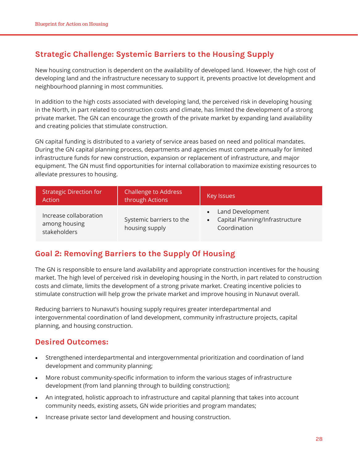## **Strategic Challenge: Systemic Barriers to the Housing Supply**

New housing construction is dependent on the availability of developed land. However, the high cost of developing land and the infrastructure necessary to support it, prevents proactive lot development and neighbourhood planning in most communities.

In addition to the high costs associated with developing land, the perceived risk in developing housing in the North, in part related to construction costs and climate, has limited the development of a strong private market. The GN can encourage the growth of the private market by expanding land availability and creating policies that stimulate construction.

GN capital funding is distributed to a variety of service areas based on need and political mandates. During the GN capital planning process, departments and agencies must compete annually for limited infrastructure funds for new construction, expansion or replacement of infrastructure, and major equipment. The GN must find opportunities for internal collaboration to maximize existing resources to alleviate pressures to housing.

| <b>Strategic Direction for</b><br>Action                | <b>Challenge to Address</b><br>through Actions | <b>Key Issues</b>                                                     |
|---------------------------------------------------------|------------------------------------------------|-----------------------------------------------------------------------|
| Increase collaboration<br>among housing<br>stakeholders | Systemic barriers to the<br>housing supply     | • Land Development<br>Capital Planning/Infrastructure<br>Coordination |

## **Goal 2: Removing Barriers to the Supply Of Housing**

The GN is responsible to ensure land availability and appropriate construction incentives for the housing market. The high level of perceived risk in developing housing in the North, in part related to construction costs and climate, limits the development of a strong private market. Creating incentive policies to stimulate construction will help grow the private market and improve housing in Nunavut overall.

Reducing barriers to Nunavut's housing supply requires greater interdepartmental and intergovernmental coordination of land development, community infrastructure projects, capital planning, and housing construction.

### **Desired Outcomes:**

- Strengthened interdepartmental and intergovernmental prioritization and coordination of land development and community planning;
- More robust community-specific information to inform the various stages of infrastructure development (from land planning through to building construction);
- An integrated, holistic approach to infrastructure and capital planning that takes into account community needs, existing assets, GN wide priorities and program mandates;
- Increase private sector land development and housing construction.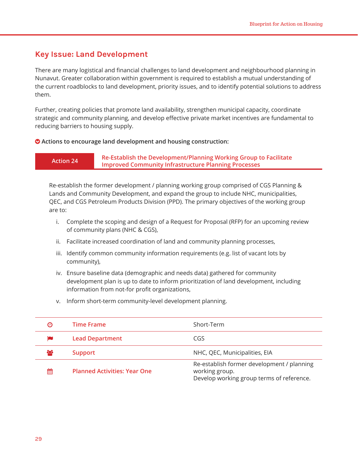#### **Key Issue: Land Development**

There are many logistical and financial challenges to land development and neighbourhood planning in Nunavut. Greater collaboration within government is required to establish a mutual understanding of the current roadblocks to land development, priority issues, and to identify potential solutions to address them.

Further, creating policies that promote land availability, strengthen municipal capacity, coordinate strategic and community planning, and develop effective private market incentives are fundamental to reducing barriers to housing supply.

#### **Actions to encourage land development and housing construction:**

**Action 24 Re-Establish the Development/Planning Working Group to Facilitate Improved Community Infrastructure Planning Processes**

Re-establish the former development / planning working group comprised of CGS Planning & Lands and Community Development, and expand the group to include NHC, municipalities, QEC, and CGS Petroleum Products Division (PPD). The primary objectives of the working group are to:

- i. Complete the scoping and design of a Request for Proposal (RFP) for an upcoming review of community plans (NHC & CGS),
- ii. Facilitate increased coordination of land and community planning processes,
- iii. Identify common community information requirements (e.g. list of vacant lots by community),
- iv. Ensure baseline data (demographic and needs data) gathered for community development plan is up to date to inform prioritization of land development, including information from not-for profit organizations,
- v. Inform short-term community-level development planning.

| Θ   | <b>Time Frame</b>                   | Short-Term                                                                                                |
|-----|-------------------------------------|-----------------------------------------------------------------------------------------------------------|
|     | <b>Lead Department</b>              | CGS                                                                                                       |
| 808 | <b>Support</b>                      | NHC, QEC, Municipalities, EIA                                                                             |
| 鯩   | <b>Planned Activities: Year One</b> | Re-establish former development / planning<br>working group.<br>Develop working group terms of reference. |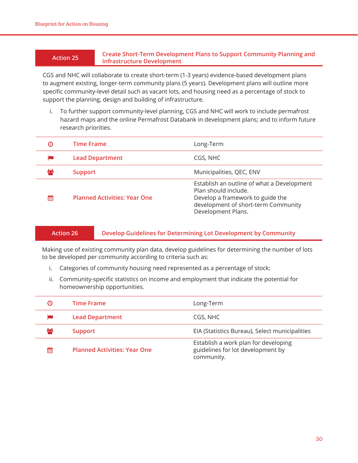#### **Action 25 Create Short-Term Development Plans to Support Community Planning and Infrastructure Development**

CGS and NHC will collaborate to create short-term (1-3 years) evidence-based development plans to augment existing, longer-term community plans (5 years). Development plans will outline more specific community-level detail such as vacant lots, and housing need as a percentage of stock to support the planning, design and building of infrastructure.

i. To further support community-level planning, CGS and NHC will work to include permafrost hazard maps and the online Permafrost Databank in development plans; and to inform future research priorities.

| Θ  | <b>Time Frame</b>                   | Long-Term                                                                                                                                                           |
|----|-------------------------------------|---------------------------------------------------------------------------------------------------------------------------------------------------------------------|
|    | <b>Lead Department</b>              | CGS, NHC                                                                                                                                                            |
| ಹಿ | <b>Support</b>                      | Municipalities, QEC, ENV                                                                                                                                            |
| 鯩  | <b>Planned Activities: Year One</b> | Establish an outline of what a Development<br>Plan should include.<br>Develop a framework to guide the<br>development of short-term Community<br>Development Plans. |

#### **Action 26 Develop Guidelines for Determining Lot Development by Community**

Making use of existing community plan data, develop guidelines for determining the number of lots to be developed per community according to criteria such as:

- i. Categories of community housing need represented as a percentage of stock;
- ii. Community-specific statistics on income and employment that indicate the potential for homeownership opportunities.

| Θ | <b>Time Frame</b>                   | Long-Term                                                                               |
|---|-------------------------------------|-----------------------------------------------------------------------------------------|
|   | <b>Lead Department</b>              | CGS, NHC                                                                                |
| ÷ | <b>Support</b>                      | EIA (Statistics Bureau), Select municipalities                                          |
| 鯩 | <b>Planned Activities: Year One</b> | Establish a work plan for developing<br>guidelines for lot development by<br>community. |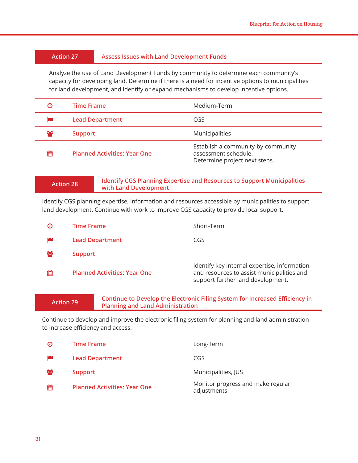#### **Action 27 Assess Issues with Land Development Funds**

Analyze the use of Land Development Funds by community to determine each community's capacity for developing land. Determine if there is a need for incentive options to municipalities for land development, and identify or expand mechanisms to develop incentive options.

| ℗  | <b>Time Frame</b>                   | Medium-Term                                                                                 |
|----|-------------------------------------|---------------------------------------------------------------------------------------------|
| p  | <b>Lead Department</b>              | CGS                                                                                         |
| ಹಿ | <b>Support</b>                      | Municipalities                                                                              |
| 鯩  | <b>Planned Activities: Year One</b> | Establish a community-by-community<br>assessment schedule.<br>Determine project next steps. |

#### **Action 28 Identify CGS Planning Expertise and Resources to Support Municipalities with Land Development**

Identify CGS planning expertise, information and resources accessible by municipalities to support land development. Continue with work to improve CGS capacity to provide local support.

| Θ | <b>Time Frame</b>                   | Short-Term                                                                                                                      |
|---|-------------------------------------|---------------------------------------------------------------------------------------------------------------------------------|
|   | <b>Lead Department</b>              | CGS                                                                                                                             |
| ಜ | <b>Support</b>                      |                                                                                                                                 |
| 鯩 | <b>Planned Activities: Year One</b> | Identify key internal expertise, information<br>and resources to assist municipalities and<br>support further land development. |

#### **Action 29 Continue to Develop the Electronic Filing System for Increased Efficiency in Planning and Land Administration**

Continue to develop and improve the electronic filing system for planning and land administration to increase efficiency and access.

| Θ  | <b>Time Frame</b>                   | Long-Term                                        |
|----|-------------------------------------|--------------------------------------------------|
|    | <b>Lead Department</b>              | CGS                                              |
| ಹಿ | <b>Support</b>                      | Municipalities, JUS                              |
| 雦  | <b>Planned Activities: Year One</b> | Monitor progress and make regular<br>adjustments |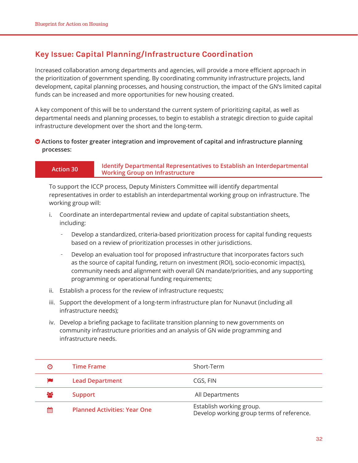## **Key Issue: Capital Planning/Infrastructure Coordination**

Increased collaboration among departments and agencies, will provide a more efficient approach in the prioritization of government spending. By coordinating community infrastructure projects, land development, capital planning processes, and housing construction, the impact of the GN's limited capital funds can be increased and more opportunities for new housing created.

A key component of this will be to understand the current system of prioritizing capital, as well as departmental needs and planning processes, to begin to establish a strategic direction to guide capital infrastructure development over the short and the long-term.

#### **Actions to foster greater integration and improvement of capital and infrastructure planning processes:**

#### **Action 30 Identify Departmental Representatives to Establish an Interdepartmental Working Group on Infrastructure**

To support the ICCP process, Deputy Ministers Committee will identify departmental representatives in order to establish an interdepartmental working group on infrastructure. The working group will:

- i. Coordinate an interdepartmental review and update of capital substantiation sheets, including:
	- Develop a standardized, criteria-based prioritization process for capital funding requests based on a review of prioritization processes in other jurisdictions.
	- Develop an evaluation tool for proposed infrastructure that incorporates factors such as the source of capital funding, return on investment (ROI), socio-economic impact(s), community needs and alignment with overall GN mandate/priorities, and any supporting programming or operational funding requirements;
- ii. Establish a process for the review of infrastructure requests;
- iii. Support the development of a long-term infrastructure plan for Nunavut (including all infrastructure needs);
- iv. Develop a briefing package to facilitate transition planning to new governments on community infrastructure priorities and an analysis of GN wide programming and infrastructure needs.

| Θ   | Time Frame                          | Short-Term                                                            |
|-----|-------------------------------------|-----------------------------------------------------------------------|
|     | <b>Lead Department</b>              | CGS, FIN                                                              |
| ಕಿಂ | <b>Support</b>                      | All Departments                                                       |
| 鯩   | <b>Planned Activities: Year One</b> | Establish working group.<br>Develop working group terms of reference. |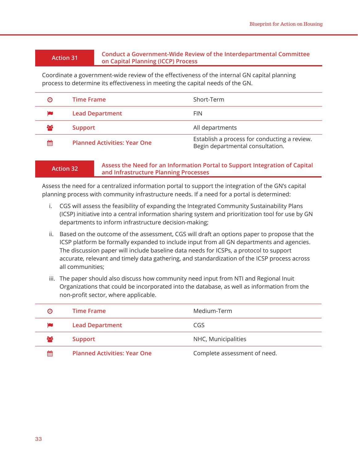#### **Action 31 Conduct a Government-Wide Review of the Interdepartmental Committee on Capital Planning (ICCP) Process**

Coordinate a government-wide review of the effectiveness of the internal GN capital planning process to determine its effectiveness in meeting the capital needs of the GN.

| $\boldsymbol{\Theta}$ | <b>Time Frame</b>                   | Short-Term                                                                       |
|-----------------------|-------------------------------------|----------------------------------------------------------------------------------|
|                       | <b>Lead Department</b>              | <b>FIN</b>                                                                       |
| ಕಿಂ                   | Support                             | All departments                                                                  |
| 鯩                     | <b>Planned Activities: Year One</b> | Establish a process for conducting a review.<br>Begin departmental consultation. |

#### **Action 32 Assess the Need for an Information Portal to Support Integration of Capital and Infrastructure Planning Processes**

Assess the need for a centralized information portal to support the integration of the GN's capital planning process with community infrastructure needs. If a need for a portal is determined:

- i. CGS will assess the feasibility of expanding the Integrated Community Sustainability Plans (ICSP) initiative into a central information sharing system and prioritization tool for use by GN departments to inform infrastructure decision-making;
- ii. Based on the outcome of the assessment, CGS will draft an options paper to propose that the ICSP platform be formally expanded to include input from all GN departments and agencies. The discussion paper will include baseline data needs for ICSPs, a protocol to support accurate, relevant and timely data gathering, and standardization of the ICSP process across all communities;
- iii. The paper should also discuss how community need input from NTI and Regional Inuit Organizations that could be incorporated into the database, as well as information from the non-profit sector, where applicable.

| Θ        | Time Frame                          | Medium-Term                  |
|----------|-------------------------------------|------------------------------|
| p        | <b>Lead Department</b>              | CGS                          |
| $\infty$ | Support                             | NHC, Municipalities          |
| 鯩        | <b>Planned Activities: Year One</b> | Complete assessment of need. |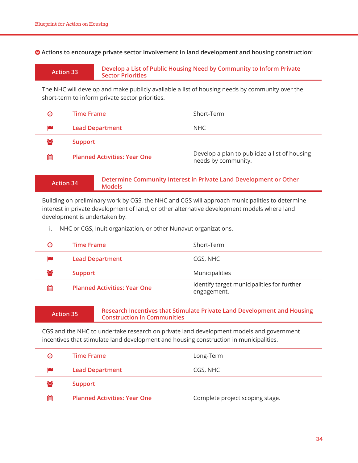**Actions to encourage private sector involvement in land development and housing construction:**

| <b>Action 33</b> |  |
|------------------|--|
|                  |  |

**Action 33 Develop a List of Public Housing Need by Community to Inform Private Sector Priorities**

The NHC will develop and make publicly available a list of housing needs by community over the short-term to inform private sector priorities.

| Θ  | Time Frame                          | Short-Term                                                           |
|----|-------------------------------------|----------------------------------------------------------------------|
|    | <b>Lead Department</b>              | NHC.                                                                 |
| ಹಿ | <b>Support</b>                      |                                                                      |
| 鯩  | <b>Planned Activities: Year One</b> | Develop a plan to publicize a list of housing<br>needs by community. |

| <b>Action 34</b> | Determine Community Interest in Private Land Development or Other<br>Models |
|------------------|-----------------------------------------------------------------------------|
|------------------|-----------------------------------------------------------------------------|

Building on preliminary work by CGS, the NHC and CGS will approach municipalities to determine interest in private development of land, or other alternative development models where land development is undertaken by:

i. NHC or CGS, Inuit organization, or other Nunavut organizations.

| Θ   | Time Frame                          | Short-Term                                                |
|-----|-------------------------------------|-----------------------------------------------------------|
|     | <b>Lead Department</b>              | CGS, NHC                                                  |
| 203 | <b>Support</b>                      | Municipalities                                            |
| 鯩   | <b>Planned Activities: Year One</b> | Identify target municipalities for further<br>engagement. |

#### **Action 35 Research Incentives that Stimulate Private Land Development and Housing Construction in Communities**

CGS and the NHC to undertake research on private land development models and government incentives that stimulate land development and housing construction in municipalities.

| Θ  | <b>Time Frame</b>                   | Long-Term                       |
|----|-------------------------------------|---------------------------------|
|    | <b>Lead Department</b>              | CGS, NHC                        |
| ဆု | <b>Support</b>                      |                                 |
| 雦  | <b>Planned Activities: Year One</b> | Complete project scoping stage. |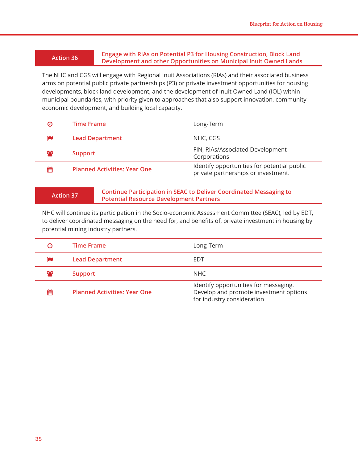#### **Action 36 Engage with RIAs on Potential P3 for Housing Construction, Block Land Development and other Opportunities on Municipal Inuit Owned Lands**

The NHC and CGS will engage with Regional Inuit Associations (RIAs) and their associated business arms on potential public private partnerships (P3) or private investment opportunities for housing developments, block land development, and the development of Inuit Owned Land (IOL) within municipal boundaries, with priority given to approaches that also support innovation, community economic development, and building local capacity.

| Θ  | <b>Time Frame</b>                   | Long-Term                                                                          |
|----|-------------------------------------|------------------------------------------------------------------------------------|
|    | <b>Lead Department</b>              | NHC, CGS                                                                           |
| ಹಿ | <b>Support</b>                      | FIN, RIAs/Associated Development<br>Corporations                                   |
| 鯩  | <b>Planned Activities: Year One</b> | Identify opportunities for potential public<br>private partnerships or investment. |

**Action 37 Continue Participation in SEAC to Deliver Coordinated Messaging to Potential Resource Development Partners**

NHC will continue its participation in the Socio-economic Assessment Committee (SEAC), led by EDT, to deliver coordinated messaging on the need for, and benefits of, private investment in housing by potential mining industry partners.

| Θ   | <b>Time Frame</b>                   | Long-Term                                                                                                     |
|-----|-------------------------------------|---------------------------------------------------------------------------------------------------------------|
|     | <b>Lead Department</b>              | EDT                                                                                                           |
| ಕಿಂ | <b>Support</b>                      | NHC                                                                                                           |
| 鯩   | <b>Planned Activities: Year One</b> | Identify opportunities for messaging.<br>Develop and promote investment options<br>for industry consideration |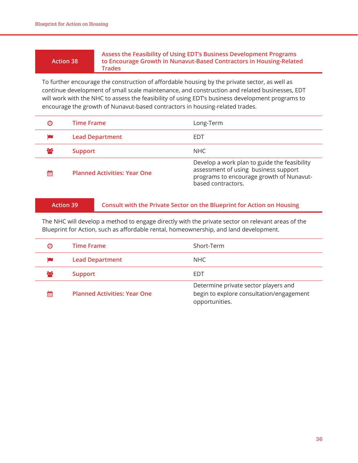#### **Action 38**

#### **Assess the Feasibility of Using EDT's Business Development Programs to Encourage Growth in Nunavut-Based Contractors in Housing-Related Trades**

To further encourage the construction of affordable housing by the private sector, as well as continue development of small scale maintenance, and construction and related businesses, EDT will work with the NHC to assess the feasibility of using EDT's business development programs to encourage the growth of Nunavut-based contractors in housing-related trades.

| Θ   | <b>Time Frame</b>                   | Long-Term                                                                                                                                              |
|-----|-------------------------------------|--------------------------------------------------------------------------------------------------------------------------------------------------------|
|     | <b>Lead Department</b>              | EDT                                                                                                                                                    |
| 808 | <b>Support</b>                      | NHC                                                                                                                                                    |
| 鯩   | <b>Planned Activities: Year One</b> | Develop a work plan to guide the feasibility<br>assessment of using business support<br>programs to encourage growth of Nunavut-<br>based contractors. |

#### **Action 39 Consult with the Private Sector on the Blueprint for Action on Housing**

The NHC will develop a method to engage directly with the private sector on relevant areas of the Blueprint for Action, such as affordable rental, homeownership, and land development.

| Θ  | <b>Time Frame</b>                   | Short-Term                                                                                         |
|----|-------------------------------------|----------------------------------------------------------------------------------------------------|
|    | <b>Lead Department</b>              | NHC                                                                                                |
| ಹಿ | <b>Support</b>                      | EDT                                                                                                |
| 雦  | <b>Planned Activities: Year One</b> | Determine private sector players and<br>begin to explore consultation/engagement<br>opportunities. |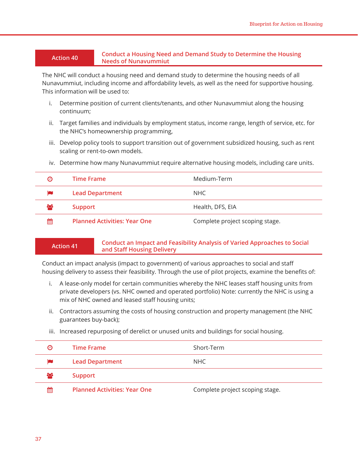#### **Action 40 Conduct a Housing Need and Demand Study to Determine the Housing Needs of Nunavummiut**

The NHC will conduct a housing need and demand study to determine the housing needs of all Nunavummiut, including income and affordability levels, as well as the need for supportive housing. This information will be used to:

- i. Determine position of current clients/tenants, and other Nunavummiut along the housing continuum;
- ii. Target families and individuals by employment status, income range, length of service, etc. for the NHC's homeownership programming,
- iii. Develop policy tools to support transition out of government subsidized housing, such as rent scaling or rent-to-own models.

| Θ  | <b>Time Frame</b>                   | Medium-Term                     |
|----|-------------------------------------|---------------------------------|
|    | <b>Lead Department</b>              | NHC.                            |
| ಹಿ | <b>Support</b>                      | Health, DFS, EIA                |
| 鱛  | <b>Planned Activities: Year One</b> | Complete project scoping stage. |

iv. Determine how many Nunavummiut require alternative housing models, including care units.

|  | <b>Action 41</b> |
|--|------------------|
|  |                  |

#### **Action 41 Conduct an Impact and Feasibility Analysis of Varied Approaches to Social and Staff Housing Delivery**

Conduct an impact analysis (impact to government) of various approaches to social and staff housing delivery to assess their feasibility. Through the use of pilot projects, examine the benefits of:

- i. A lease-only model for certain communities whereby the NHC leases staff housing units from private developers (vs. NHC owned and operated portfolio) Note: currently the NHC is using a mix of NHC owned and leased staff housing units;
- ii. Contractors assuming the costs of housing construction and property management (the NHC guarantees buy-back);
- iii. Increased repurposing of derelict or unused units and buildings for social housing.

| Θ   | <b>Time Frame</b>                   | Short-Term                      |
|-----|-------------------------------------|---------------------------------|
|     | <b>Lead Department</b>              | NHC                             |
| 808 | <b>Support</b>                      |                                 |
| 雦   | <b>Planned Activities: Year One</b> | Complete project scoping stage. |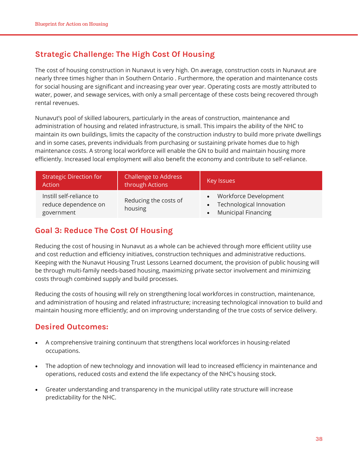## **Strategic Challenge: The High Cost Of Housing**

The cost of housing construction in Nunavut is very high. On average, construction costs in Nunavut are nearly three times higher than in Southern Ontario . Furthermore, the operation and maintenance costs for social housing are significant and increasing year over year. Operating costs are mostly attributed to water, power, and sewage services, with only a small percentage of these costs being recovered through rental revenues.

Nunavut's pool of skilled labourers, particularly in the areas of construction, maintenance and administration of housing and related infrastructure, is small. This impairs the ability of the NHC to maintain its own buildings, limits the capacity of the construction industry to build more private dwellings and in some cases, prevents individuals from purchasing or sustaining private homes due to high maintenance costs. A strong local workforce will enable the GN to build and maintain housing more efficiently. Increased local employment will also benefit the economy and contribute to self-reliance.

| <b>Strategic Direction for</b><br>Action                       | <b>Challenge to Address</b><br>through Actions | <b>Key Issues</b>                                                                   |
|----------------------------------------------------------------|------------------------------------------------|-------------------------------------------------------------------------------------|
| Instill self-reliance to<br>reduce dependence on<br>government | Reducing the costs of<br>housing               | • Workforce Development<br>• Technological Innovation<br><b>Municipal Financing</b> |

#### **Goal 3: Reduce The Cost Of Housing**

Reducing the cost of housing in Nunavut as a whole can be achieved through more efficient utility use and cost reduction and efficiency initiatives, construction techniques and administrative reductions. Keeping with the Nunavut Housing Trust Lessons Learned document, the provision of public housing will be through multi-family needs-based housing, maximizing private sector involvement and minimizing costs through combined supply and build processes.

Reducing the costs of housing will rely on strengthening local workforces in construction, maintenance, and administration of housing and related infrastructure; increasing technological innovation to build and maintain housing more efficiently; and on improving understanding of the true costs of service delivery.

#### **Desired Outcomes:**

- A comprehensive training continuum that strengthens local workforces in housing-related occupations.
- The adoption of new technology and innovation will lead to increased efficiency in maintenance and operations, reduced costs and extend the life expectancy of the NHC's housing stock.
- Greater understanding and transparency in the municipal utility rate structure will increase predictability for the NHC.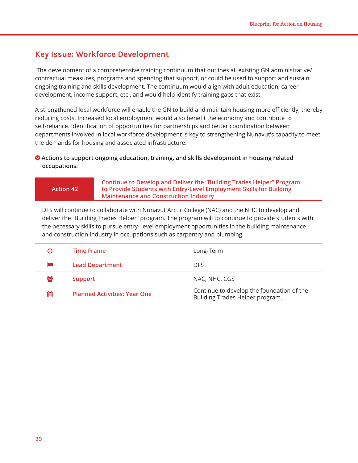#### **Key Issue: Workforce Development**

 The development of a comprehensive training continuum that outlines all existing GN administrative/ contractual measures, programs and spending that support, or could be used to support and sustain ongoing training and skills development. The continuum would align with adult education, career development, income support, etc., and would help identify training gaps that exist.

A strengthened local workforce will enable the GN to build and maintain housing more efficiently, thereby reducing costs. Increased local employment would also benefit the economy and contribute to self-reliance. Identification of opportunities for partnerships and better coordination between departments involved in local workforce development is key to strengthening Nunavut's capacity to meet the demands for housing and associated infrastructure.

#### **Actions to support ongoing education, training, and skills development in housing related occupations:**

**Action 42**

**Continue to Develop and Deliver the "Building Trades Helper" Program to Provide Students with Entry-Level Employment Skills for Building Maintenance and Construction Industry**

DFS will continue to collaborate with Nunavut Arctic College (NAC) and the NHC to develop and deliver the "Building Trades Helper" program. The program will to continue to provide students with the necessary skills to pursue entry- level employment opportunities in the building maintenance and construction industry in occupations such as carpentry and plumbing.

| Θ | Time Frame                          | Long-Term                                                                    |
|---|-------------------------------------|------------------------------------------------------------------------------|
|   | <b>Lead Department</b>              | <b>DFS</b>                                                                   |
| ಉ | <b>Support</b>                      | NAC, NHC, CGS                                                                |
| 鯩 | <b>Planned Activities: Year One</b> | Continue to develop the foundation of the<br>Building Trades Helper program. |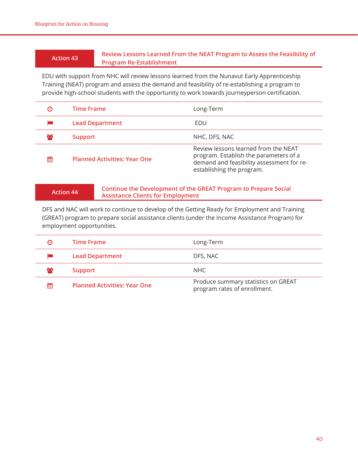#### **Action 43 Review Lessons Learned From the NEAT Program to Assess the Feasibility of Program Re-Establishment**

EDU with support from NHC will review lessons learned from the Nunavut Early Apprenticeship Training (NEAT) program and assess the demand and feasibility of re-establishing a program to provide high-school students with the opportunity to work towards journeyperson certification.

| Θ  | <b>Time Frame</b>                   | Long-Term                                                                                                                                                |
|----|-------------------------------------|----------------------------------------------------------------------------------------------------------------------------------------------------------|
|    | <b>Lead Department</b>              | EDU                                                                                                                                                      |
| ಹಿ | <b>Support</b>                      | NHC, DFS, NAC                                                                                                                                            |
| 雦  | <b>Planned Activities: Year One</b> | Review lessons learned from the NEAT<br>program. Establish the parameters of a<br>demand and feasibility assessment for re-<br>establishing the program. |

#### **Action 44 Continue the Development of the GREAT Program to Prepare Social Assistance Clients for Employment**

DFS and NAC will work to continue to develop of the Getting Ready for Employment and Training (GREAT) program to prepare social assistance clients (under the Income Assistance Program) for employment opportunities.

| Θ   | <b>Time Frame</b>                   | Long-Term                                                           |
|-----|-------------------------------------|---------------------------------------------------------------------|
| p   | <b>Lead Department</b>              | DFS, NAC                                                            |
| 808 | <b>Support</b>                      | NHC.                                                                |
| 雦   | <b>Planned Activities: Year One</b> | Produce summary statistics on GREAT<br>program rates of enrollment. |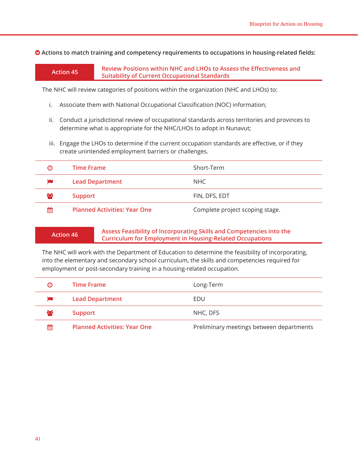$\bullet$  Actions to match training and competency requirements to occupations in housing-related fields:

**Action 45 Review Positions within NHC and LHOs to Assess the Effectiveness and Suitability of Current Occupational Standards**

The NHC will review categories of positions within the organization (NHC and LHOs) to:

- i. Associate them with National Occupational Classification (NOC) information;
- ii. Conduct a jurisdictional review of occupational standards across territories and provinces to determine what is appropriate for the NHC/LHOs to adopt in Nunavut;
- iii. Engage the LHOs to determine if the current occupation standards are effective, or if they create unintended employment barriers or challenges.

| Θ  | <b>Time Frame</b>                   | Short-Term                      |
|----|-------------------------------------|---------------------------------|
|    | <b>Lead Department</b>              | NHC.                            |
| ಹಿ | <b>Support</b>                      | FIN, DFS, EDT                   |
| 雦  | <b>Planned Activities: Year One</b> | Complete project scoping stage. |

#### **Action 46 Assess Feasibility of Incorporating Skills and Competencies into the Curriculum for Employment in Housing-Related Occupations**

The NHC will work with the Department of Education to determine the feasibility of incorporating, into the elementary and secondary school curriculum, the skills and competencies required for employment or post-secondary training in a housing-related occupation.

| $\boldsymbol{\Theta}$ | <b>Time Frame</b>                   | Long-Term                                |
|-----------------------|-------------------------------------|------------------------------------------|
| <b>in</b>             | <b>Lead Department</b>              | EDU                                      |
| $\infty$              | <b>Support</b>                      | NHC, DFS                                 |
| 雦                     | <b>Planned Activities: Year One</b> | Preliminary meetings between departments |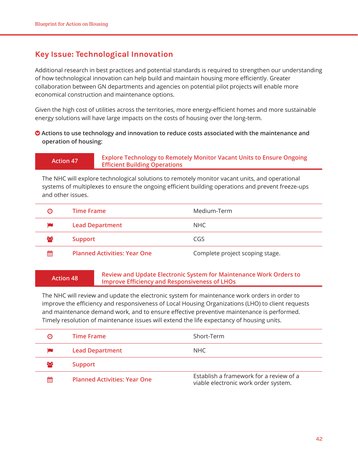### **Key Issue: Technological Innovation**

Additional research in best practices and potential standards is required to strengthen our understanding of how technological innovation can help build and maintain housing more efficiently. Greater collaboration between GN departments and agencies on potential pilot projects will enable more economical construction and maintenance options.

Given the high cost of utilities across the territories, more energy-efficient homes and more sustainable energy solutions will have large impacts on the costs of housing over the long-term.

#### **• Actions to use technology and innovation to reduce costs associated with the maintenance and operation of housing:**

**Action 47 Explore Technology to Remotely Monitor Vacant Units to Ensure Ongoing Efficient Building Operations**

The NHC will explore technological solutions to remotely monitor vacant units, and operational systems of multiplexes to ensure the ongoing efficient building operations and prevent freeze-ups and other issues.

| Θ        | <b>Time Frame</b>                   | Medium-Term                     |
|----------|-------------------------------------|---------------------------------|
|          | <b>Lead Department</b>              | NHC.                            |
| $\infty$ | <b>Support</b>                      | CGS                             |
| 雦        | <b>Planned Activities: Year One</b> | Complete project scoping stage. |

**Action 48 Review and Update Electronic System for Maintenance Work Orders to Improve Efficiency and Responsiveness of LHOs**

The NHC will review and update the electronic system for maintenance work orders in order to improve the efficiency and responsiveness of Local Housing Organizations (LHO) to client requests and maintenance demand work, and to ensure effective preventive maintenance is performed. Timely resolution of maintenance issues will extend the life expectancy of housing units.

| $\boldsymbol{\Theta}$ | <b>Time Frame</b>                   | Short-Term                                                                      |
|-----------------------|-------------------------------------|---------------------------------------------------------------------------------|
|                       | <b>Lead Department</b>              | NHC                                                                             |
| $\infty$              | <b>Support</b>                      |                                                                                 |
| 鯩                     | <b>Planned Activities: Year One</b> | Establish a framework for a review of a<br>viable electronic work order system. |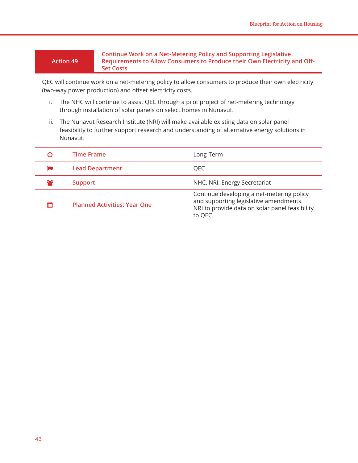#### **Action 49**

**Continue Work on a Net-Metering Policy and Supporting Legislative Requirements to Allow Consumers to Produce their Own Electricity and Off-Set Costs**

QEC will continue work on a net-metering policy to allow consumers to produce their own electricity (two-way power production) and offset electricity costs.

- i. The NHC will continue to assist QEC through a pilot project of net-metering technology through installation of solar panels on select homes in Nunavut.
- ii. The Nunavut Research Institute (NRI) will make available existing data on solar panel feasibility to further support research and understanding of alternative energy solutions in Nunavut.

| Θ  | <b>Time Frame</b>                   | Long-Term                                                                                                                                        |
|----|-------------------------------------|--------------------------------------------------------------------------------------------------------------------------------------------------|
|    | <b>Lead Department</b>              | QEC                                                                                                                                              |
| ಹಿ | <b>Support</b>                      | NHC, NRI, Energy Secretariat                                                                                                                     |
| 鯩  | <b>Planned Activities: Year One</b> | Continue developing a net-metering policy<br>and supporting legislative amendments.<br>NRI to provide data on solar panel feasibility<br>to QEC. |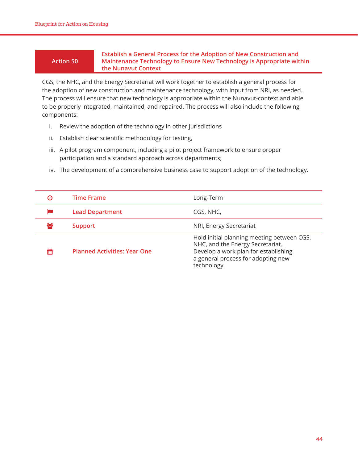#### **Action 50**

**Establish a General Process for the Adoption of New Construction and Maintenance Technology to Ensure New Technology is Appropriate within the Nunavut Context**

CGS, the NHC, and the Energy Secretariat will work together to establish a general process for the adoption of new construction and maintenance technology, with input from NRI, as needed. The process will ensure that new technology is appropriate within the Nunavut-context and able to be properly integrated, maintained, and repaired. The process will also include the following components:

- i. Review the adoption of the technology in other jurisdictions
- ii. Establish clear scientific methodology for testing,
- iii. A pilot program component, including a pilot project framework to ensure proper participation and a standard approach across departments;
- iv. The development of a comprehensive business case to support adoption of the technology.

| Θ  | <b>Time Frame</b>                   | Long-Term                                                                                                                                                                   |
|----|-------------------------------------|-----------------------------------------------------------------------------------------------------------------------------------------------------------------------------|
|    | <b>Lead Department</b>              | CGS, NHC,                                                                                                                                                                   |
| ۲X | <b>Support</b>                      | NRI, Energy Secretariat                                                                                                                                                     |
| 鯩  | <b>Planned Activities: Year One</b> | Hold initial planning meeting between CGS,<br>NHC, and the Energy Secretariat.<br>Develop a work plan for establishing<br>a general process for adopting new<br>technology. |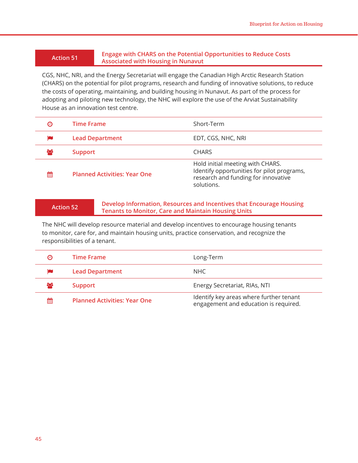#### **Action 51 Engage with CHARS on the Potential Opportunities to Reduce Costs Associated with Housing in Nunavut**

CGS, NHC, NRI, and the Energy Secretariat will engage the Canadian High Arctic Research Station (CHARS) on the potential for pilot programs, research and funding of innovative solutions, to reduce the costs of operating, maintaining, and building housing in Nunavut. As part of the process for adopting and piloting new technology, the NHC will explore the use of the Arviat Sustainability House as an innovation test centre.

| Θ        | <b>Time Frame</b>                   | Short-Term                                                                                                                          |
|----------|-------------------------------------|-------------------------------------------------------------------------------------------------------------------------------------|
|          | <b>Lead Department</b>              | EDT, CGS, NHC, NRI                                                                                                                  |
| $\infty$ | <b>Support</b>                      | <b>CHARS</b>                                                                                                                        |
| 鯩        | <b>Planned Activities: Year One</b> | Hold initial meeting with CHARS.<br>Identify opportunities for pilot programs,<br>research and funding for innovative<br>solutions. |

#### **Action 52 Develop Information, Resources and Incentives that Encourage Housing Tenants to Monitor, Care and Maintain Housing Units**

The NHC will develop resource material and develop incentives to encourage housing tenants to monitor, care for, and maintain housing units, practice conservation, and recognize the responsibilities of a tenant.

| Θ   | Time Frame                          | Long-Term                                                                        |
|-----|-------------------------------------|----------------------------------------------------------------------------------|
|     | <b>Lead Department</b>              | NHC                                                                              |
| ಕಿಂ | <b>Support</b>                      | Energy Secretariat, RIAs, NTI                                                    |
| 鯩   | <b>Planned Activities: Year One</b> | Identify key areas where further tenant<br>engagement and education is required. |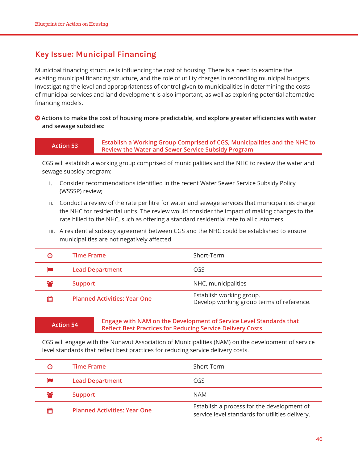### **Key Issue: Municipal Financing**

Municipal financing structure is influencing the cost of housing. There is a need to examine the existing municipal financing structure, and the role of utility charges in reconciling municipal budgets. Investigating the level and appropriateness of control given to municipalities in determining the costs of municipal services and land development is also important, as well as exploring potential alternative financing models.

#### **Actions to make the cost of housing more predictable, and explore greater efficiencies with water and sewage subsidies:**

#### **Action 53 Establish a Working Group Comprised of CGS, Municipalities and the NHC to Review the Water and Sewer Service Subsidy Program**

CGS will establish a working group comprised of municipalities and the NHC to review the water and sewage subsidy program:

- i. Consider recommendations identified in the recent Water Sewer Service Subsidy Policy (WSSSP) review;
- ii. Conduct a review of the rate per litre for water and sewage services that municipalities charge the NHC for residential units. The review would consider the impact of making changes to the rate billed to the NHC, such as offering a standard residential rate to all customers.
- iii. A residential subsidy agreement between CGS and the NHC could be established to ensure municipalities are not negatively affected.

| Θ   | <b>Time Frame</b>                   | Short-Term                                                            |
|-----|-------------------------------------|-----------------------------------------------------------------------|
|     | <b>Lead Department</b>              | CGS                                                                   |
| 808 | <b>Support</b>                      | NHC, municipalities                                                   |
| 鯩   | <b>Planned Activities: Year One</b> | Establish working group.<br>Develop working group terms of reference. |

#### **Action 54 Engage with NAM on the Development of Service Level Standards that Reflect Best Practices for Reducing Service Delivery Costs**

CGS will engage with the Nunavut Association of Municipalities (NAM) on the development of service level standards that reflect best practices for reducing service delivery costs.

| Θ        | Time Frame                          | Short-Term                                                                                    |
|----------|-------------------------------------|-----------------------------------------------------------------------------------------------|
|          | <b>Lead Department</b>              | CGS                                                                                           |
| $\infty$ | Support                             | <b>NAM</b>                                                                                    |
| 鯩        | <b>Planned Activities: Year One</b> | Establish a process for the development of<br>service level standards for utilities delivery. |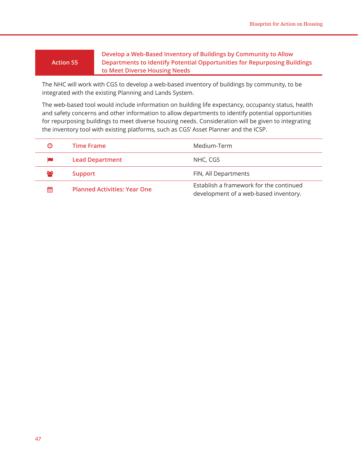#### **Action 55**

**Develop a Web-Based Inventory of Buildings by Community to Allow Departments to Identify Potential Opportunities for Repurposing Buildings to Meet Diverse Housing Needs**

The NHC will work with CGS to develop a web-based inventory of buildings by community, to be integrated with the existing Planning and Lands System.

The web-based tool would include information on building life expectancy, occupancy status, health and safety concerns and other information to allow departments to identify potential opportunities for repurposing buildings to meet diverse housing needs. Consideration will be given to integrating the inventory tool with existing platforms, such as CGS' Asset Planner and the ICSP.

| Θ  | <b>Time Frame</b>                   | Medium-Term                                                                      |
|----|-------------------------------------|----------------------------------------------------------------------------------|
|    | <b>Lead Department</b>              | NHC, CGS                                                                         |
| ಹಿ | <b>Support</b>                      | FIN, All Departments                                                             |
| 鯩  | <b>Planned Activities: Year One</b> | Establish a framework for the continued<br>development of a web-based inventory. |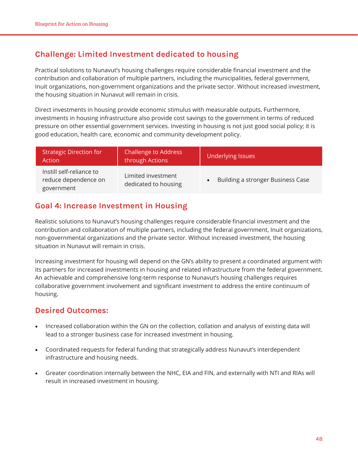## **Challenge: Limited Investment dedicated to housing**

Practical solutions to Nunavut's housing challenges require considerable financial investment and the contribution and collaboration of multiple partners, including the municipalities, federal government, Inuit organizations, non-government organizations and the private sector. Without increased investment, the housing situation in Nunavut will remain in crisis.

Direct investments in housing provide economic stimulus with measurable outputs. Furthermore, investments in housing infrastructure also provide cost savings to the government in terms of reduced pressure on other essential government services. Investing in housing is not just good social policy; it is good education, health care, economic and community development policy.

| <b>Strategic Direction for</b><br>Action                       | <b>Challenge to Address</b><br>through Actions | <b>Underlying Issues</b>          |
|----------------------------------------------------------------|------------------------------------------------|-----------------------------------|
| Instill self-reliance to<br>reduce dependence on<br>government | Limited investment<br>dedicated to housing     | Building a stronger Business Case |

#### **Goal 4: Increase Investment in Housing**

Realistic solutions to Nunavut's housing challenges require considerable financial investment and the contribution and collaboration of multiple partners, including the federal government, Inuit organizations, non-governmental organizations and the private sector. Without increased investment, the housing situation in Nunavut will remain in crisis.

Increasing investment for housing will depend on the GN's ability to present a coordinated argument with its partners for increased investments in housing and related infrastructure from the federal government. An achievable and comprehensive long-term response to Nunavut's housing challenges requires collaborative government involvement and significant investment to address the entire continuum of housing.

#### **Desired Outcomes:**

- Increased collaboration within the GN on the collection, collation and analysis of existing data will lead to a stronger business case for increased investment in housing.
- Coordinated requests for federal funding that strategically address Nunavut's interdependent infrastructure and housing needs.
- Greater coordination internally between the NHC, EIA and FIN, and externally with NTI and RIAs will result in increased investment in housing.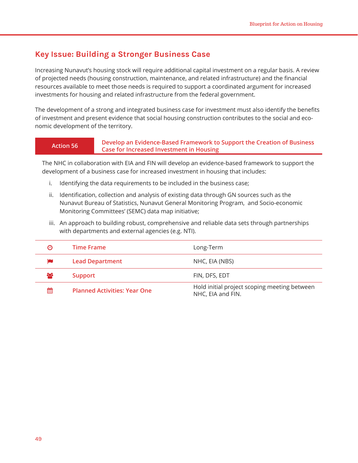#### **Key Issue: Building a Stronger Business Case**

Increasing Nunavut's housing stock will require additional capital investment on a regular basis. A review of projected needs (housing construction, maintenance, and related infrastructure) and the financial resources available to meet those needs is required to support a coordinated argument for increased investments for housing and related infrastructure from the federal government.

The development of a strong and integrated business case for investment must also identify the benefits of investment and present evidence that social housing construction contributes to the social and economic development of the territory.

#### **Action 56 Develop an Evidence-Based Framework to Support the Creation of Business Case for Increased Investment in Housing**

The NHC in collaboration with EIA and FIN will develop an evidence-based framework to support the development of a business case for increased investment in housing that includes:

- i. Identifying the data requirements to be included in the business case;
- ii. Identification, collection and analysis of existing data through GN sources such as the Nunavut Bureau of Statistics, Nunavut General Monitoring Program, and Socio-economic Monitoring Committees' (SEMC) data map initiative;
- iii. An approach to building robust, comprehensive and reliable data sets through partnerships with departments and external agencies (e.g. NTI).

| Θ   | Time Frame                          | Long-Term                                                         |
|-----|-------------------------------------|-------------------------------------------------------------------|
|     | <b>Lead Department</b>              | NHC, EIA (NBS)                                                    |
| ಕಿಂ | Support                             | FIN, DFS, EDT                                                     |
| 鯩   | <b>Planned Activities: Year One</b> | Hold initial project scoping meeting between<br>NHC, EIA and FIN. |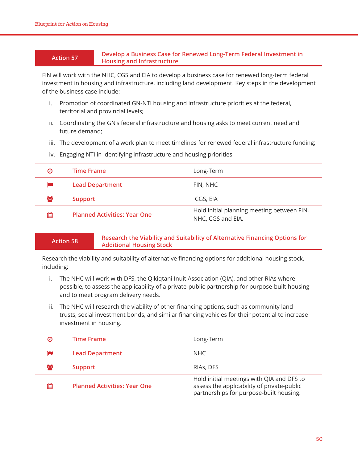#### **Action 57 Develop a Business Case for Renewed Long-Term Federal Investment in Housing and Infrastructure**

FIN will work with the NHC, CGS and EIA to develop a business case for renewed long-term federal investment in housing and infrastructure, including land development. Key steps in the development of the business case include:

- i. Promotion of coordinated GN-NTI housing and infrastructure priorities at the federal, territorial and provincial levels;
- ii. Coordinating the GN's federal infrastructure and housing asks to meet current need and future demand;
- iii. The development of a work plan to meet timelines for renewed federal infrastructure funding;
- iv. Engaging NTI in identifying infrastructure and housing priorities.

| $\boldsymbol{\Theta}$ | <b>Time Frame</b>                   | Long-Term                                                       |
|-----------------------|-------------------------------------|-----------------------------------------------------------------|
|                       | <b>Lead Department</b>              | FIN, NHC                                                        |
| $\infty$              | Support                             | CGS, EIA                                                        |
| 鯩                     | <b>Planned Activities: Year One</b> | Hold initial planning meeting between FIN,<br>NHC, CGS and EIA. |

#### **Action 58 Research the Viability and Suitability of Alternative Financing Options for Additional Housing Stock**

Research the viability and suitability of alternative financing options for additional housing stock, including:

- i. The NHC will work with DFS, the Qikiqtani Inuit Association (QIA), and other RIAs where possible, to assess the applicability of a private-public partnership for purpose-built housing and to meet program delivery needs.
- ii. The NHC will research the viability of other financing options, such as community land trusts, social investment bonds, and similar financing vehicles for their potential to increase investment in housing.

| Θ   | <b>Time Frame</b>                   | Long-Term                                                                                                                          |
|-----|-------------------------------------|------------------------------------------------------------------------------------------------------------------------------------|
| p   | <b>Lead Department</b>              | NHC.                                                                                                                               |
| 808 | <b>Support</b>                      | RIAS, DFS                                                                                                                          |
| 鯩   | <b>Planned Activities: Year One</b> | Hold initial meetings with QIA and DFS to<br>assess the applicability of private-public<br>partnerships for purpose-built housing. |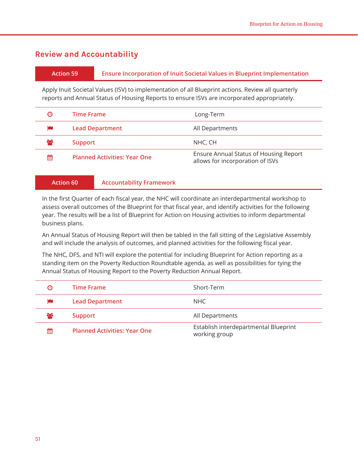#### **Review and Accountability**

#### **Action 59 Ensure Incorporation of Inuit Societal Values in Blueprint Implementation**

Apply Inuit Societal Values (ISV) to implementation of all Blueprint actions. Review all quarterly reports and Annual Status of Housing Reports to ensure ISVs are incorporated appropriately.

| Θ  | Time Frame                          | Long-Term                                                                  |
|----|-------------------------------------|----------------------------------------------------------------------------|
|    | <b>Lead Department</b>              | All Departments                                                            |
| ಹಿ | <b>Support</b>                      | NHC, CH                                                                    |
| 鯩  | <b>Planned Activities: Year One</b> | Ensure Annual Status of Housing Report<br>allows for incorporation of ISVs |

#### **Action 60 Accountability Framework**

In the first Quarter of each fiscal year, the NHC will coordinate an interdepartmental workshop to assess overall outcomes of the Blueprint for that fiscal year, and identify activities for the following year. The results will be a list of Blueprint for Action on Housing activities to inform departmental business plans.

An Annual Status of Housing Report will then be tabled in the fall sitting of the Legislative Assembly and will include the analysis of outcomes, and planned activities for the following fiscal year.

The NHC, DFS, and NTI will explore the potential for including Blueprint for Action reporting as a standing item on the Poverty Reduction Roundtable agenda, as well as possibilities for tying the Annual Status of Housing Report to the Poverty Reduction Annual Report.

| Θ  | <b>Time Frame</b>                   | Short-Term                                             |
|----|-------------------------------------|--------------------------------------------------------|
|    | <b>Lead Department</b>              | NHC.                                                   |
| ಹಿ | <b>Support</b>                      | All Departments                                        |
| 鯩  | <b>Planned Activities: Year One</b> | Establish interdepartmental Blueprint<br>working group |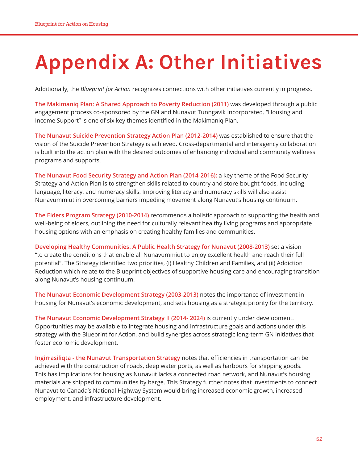## **Appendix A: Other Initiatives**

Additionally, the *Blueprint for Action* recognizes connections with other initiatives currently in progress.

**The Makimaniq Plan: A Shared Approach to Poverty Reduction (2011)** was developed through a public engagement process co-sponsored by the GN and Nunavut Tunngavik Incorporated. "Housing and Income Support" is one of six key themes identified in the Makimaniq Plan.

**The Nunavut Suicide Prevention Strategy Action Plan (2012-2014)** was established to ensure that the vision of the Suicide Prevention Strategy is achieved. Cross-departmental and interagency collaboration is built into the action plan with the desired outcomes of enhancing individual and community wellness programs and supports.

**The Nunavut Food Security Strategy and Action Plan (2014-2016):** a key theme of the Food Security Strategy and Action Plan is to strengthen skills related to country and store-bought foods, including language, literacy, and numeracy skills. Improving literacy and numeracy skills will also assist Nunavummiut in overcoming barriers impeding movement along Nunavut's housing continuum.

**The Elders Program Strategy (2010-2014)** recommends a holistic approach to supporting the health and well-being of elders, outlining the need for culturally relevant healthy living programs and appropriate housing options with an emphasis on creating healthy families and communities.

**Developing Healthy Communities: A Public Health Strategy for Nunavut (2008-2013)** set a vision "to create the conditions that enable all Nunavummiut to enjoy excellent health and reach their full potential". The Strategy identified two priorities, (i) Healthy Children and Families, and (ii) Addiction Reduction which relate to the Blueprint objectives of supportive housing care and encouraging transition along Nunavut's housing continuum.

**The Nunavut Economic Development Strategy (2003-2013)** notes the importance of investment in housing for Nunavut's economic development, and sets housing as a strategic priority for the territory.

**The Nunavut Economic Development Strategy II (2014- 2024)** is currently under development. Opportunities may be available to integrate housing and infrastructure goals and actions under this strategy with the Blueprint for Action, and build synergies across strategic long-term GN initiatives that foster economic development.

**Ingirrasiliqta - the Nunavut Transportation Strategy** notes that efficiencies in transportation can be achieved with the construction of roads, deep water ports, as well as harbours for shipping goods. This has implications for housing as Nunavut lacks a connected road network, and Nunavut's housing materials are shipped to communities by barge. This Strategy further notes that investments to connect Nunavut to Canada's National Highway System would bring increased economic growth, increased employment, and infrastructure development.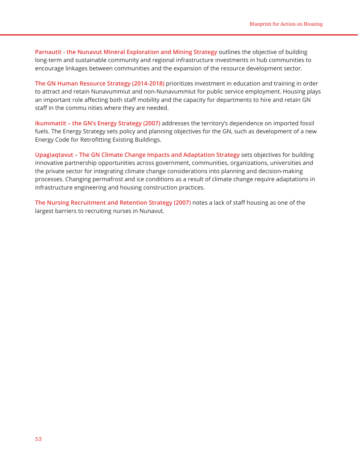**Parnautit - the Nunavut Mineral Exploration and Mining Strategy** outlines the objective of building long-term and sustainable community and regional infrastructure investments in hub communities to encourage linkages between communities and the expansion of the resource development sector.

**The GN Human Resource Strategy (2014-2018)** prioritizes investment in education and training in order to attract and retain Nunavummiut and non-Nunavummiut for public service employment. Housing plays an important role affecting both staff mobility and the capacity for departments to hire and retain GN staff in the commu nities where they are needed.

**Ikummatiit – the GN's Energy Strategy (2007)** addresses the territory's dependence on imported fossil fuels. The Energy Strategy sets policy and planning objectives for the GN, such as development of a new Energy Code for Retrofitting Existing Buildings.

**Upagiaqtavut – The GN Climate Change Impacts and Adaptation Strategy** sets objectives for building innovative partnership opportunities across government, communities, organizations, universities and the private sector for integrating climate change considerations into planning and decision-making processes. Changing permafrost and ice conditions as a result of climate change require adaptations in infrastructure engineering and housing construction practices.

**The Nursing Recruitment and Retention Strategy (2007)** notes a lack of staff housing as one of the largest barriers to recruiting nurses in Nunavut.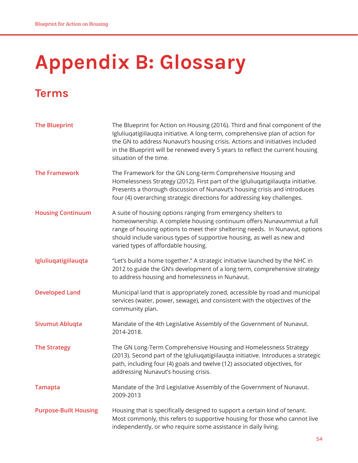## **Appendix B: Glossary**

## **Terms**

| <b>The Blueprint</b>         | The Blueprint for Action on Housing (2016). Third and final component of the<br>Igluliuqatigiilauqta initiative. A long-term, comprehensive plan of action for<br>the GN to address Nunavut's housing crisis. Actions and initiatives included<br>in the Blueprint will be renewed every 5 years to reflect the current housing<br>situation of the time. |
|------------------------------|-----------------------------------------------------------------------------------------------------------------------------------------------------------------------------------------------------------------------------------------------------------------------------------------------------------------------------------------------------------|
| <b>The Framework</b>         | The Framework for the GN Long-term Comprehensive Housing and<br>Homelessness Strategy (2012). First part of the Igluliuqatigiilauqta initiative.<br>Presents a thorough discussion of Nunavut's housing crisis and introduces<br>four (4) overarching strategic directions for addressing key challenges.                                                 |
| <b>Housing Continuum</b>     | A suite of housing options ranging from emergency shelters to<br>homeownership. A complete housing continuum offers Nunavummiut a full<br>range of housing options to meet their sheltering needs. In Nunavut, options<br>should include various types of supportive housing, as well as new and<br>varied types of affordable housing.                   |
| Igluliuqatigiilauqta         | "Let's build a home together." A strategic initiative launched by the NHC in<br>2012 to guide the GN's development of a long term, comprehensive strategy<br>to address housing and homelessness in Nunavut.                                                                                                                                              |
| <b>Developed Land</b>        | Municipal land that is appropriately zoned, accessible by road and municipal<br>services (water, power, sewage), and consistent with the objectives of the<br>community plan.                                                                                                                                                                             |
| <b>Sivumut Ablugta</b>       | Mandate of the 4th Legislative Assembly of the Government of Nunavut.<br>2014-2018.                                                                                                                                                                                                                                                                       |
| <b>The Strategy</b>          | The GN Long-Term Comprehensive Housing and Homelessness Strategy<br>(2013). Second part of the Igluliuqatigiilauqta initiative. Introduces a strategic<br>path, including four (4) goals and twelve (12) associated objectives, for<br>addressing Nunavut's housing crisis.                                                                               |
| <b>Tamapta</b>               | Mandate of the 3rd Legislative Assembly of the Government of Nunavut.<br>2009-2013                                                                                                                                                                                                                                                                        |
| <b>Purpose-Built Housing</b> | Housing that is specifically designed to support a certain kind of tenant.<br>Most commonly, this refers to supportive housing for those who cannot live<br>independently, or who require some assistance in daily living.                                                                                                                                |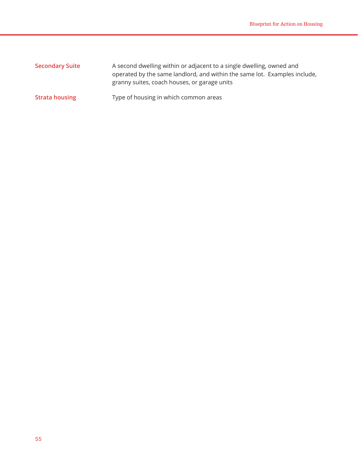| <b>Secondary Suite</b> | A second dwelling within or adjacent to a single dwelling, owned and<br>operated by the same landlord, and within the same lot. Examples include,<br>granny suites, coach houses, or garage units |
|------------------------|---------------------------------------------------------------------------------------------------------------------------------------------------------------------------------------------------|
| <b>Strata housing</b>  | Type of housing in which common areas                                                                                                                                                             |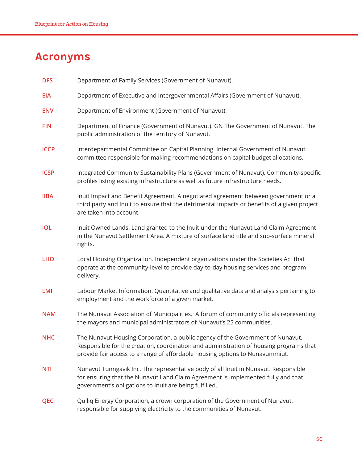## **Acronyms**

| <b>DFS</b>  | Department of Family Services (Government of Nunavut).                                                                                                                                                                                                   |
|-------------|----------------------------------------------------------------------------------------------------------------------------------------------------------------------------------------------------------------------------------------------------------|
| <b>EIA</b>  | Department of Executive and Intergovernmental Affairs (Government of Nunavut).                                                                                                                                                                           |
| <b>ENV</b>  | Department of Environment (Government of Nunavut).                                                                                                                                                                                                       |
| <b>FIN</b>  | Department of Finance (Government of Nunavut). GN The Government of Nunavut. The<br>public administration of the territory of Nunavut.                                                                                                                   |
| <b>ICCP</b> | Interdepartmental Committee on Capital Planning. Internal Government of Nunavut<br>committee responsible for making recommendations on capital budget allocations.                                                                                       |
| <b>ICSP</b> | Integrated Community Sustainability Plans (Government of Nunavut). Community-specific<br>profiles listing existing infrastructure as well as future infrastructure needs.                                                                                |
| <b>IIBA</b> | Inuit Impact and Benefit Agreement. A negotiated agreement between government or a<br>third party and Inuit to ensure that the detrimental impacts or benefits of a given project<br>are taken into account.                                             |
| <b>IOL</b>  | Inuit Owned Lands. Land granted to the Inuit under the Nunavut Land Claim Agreement<br>in the Nunavut Settlement Area. A mixture of surface land title and sub-surface mineral<br>rights.                                                                |
| <b>LHO</b>  | Local Housing Organization. Independent organizations under the Societies Act that<br>operate at the community-level to provide day-to-day housing services and program<br>delivery.                                                                     |
| <b>LMI</b>  | Labour Market Information. Quantitative and qualitative data and analysis pertaining to<br>employment and the workforce of a given market.                                                                                                               |
| <b>NAM</b>  | The Nunavut Association of Municipalities. A forum of community officials representing<br>the mayors and municipal administrators of Nunavut's 25 communities.                                                                                           |
| <b>NHC</b>  | The Nunavut Housing Corporation, a public agency of the Government of Nunavut.<br>Responsible for the creation, coordination and administration of housing programs that<br>provide fair access to a range of affordable housing options to Nunavummiut. |
| <b>NTI</b>  | Nunavut Tunngavik Inc. The representative body of all Inuit in Nunavut. Responsible<br>for ensuring that the Nunavut Land Claim Agreement is implemented fully and that<br>government's obligations to Inuit are being fulfilled.                        |
| <b>QEC</b>  | Qulliq Energy Corporation, a crown corporation of the Government of Nunavut,<br>responsible for supplying electricity to the communities of Nunavut.                                                                                                     |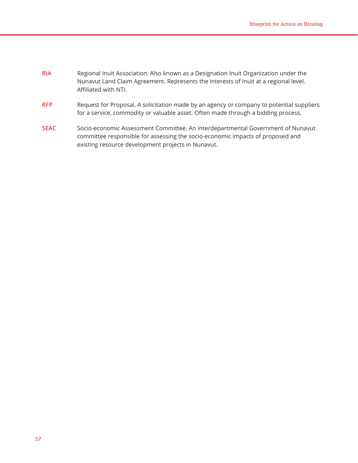| <b>RIA</b> | Regional Inuit Association. Also known as a Designation Inuit Organization under the<br>Nunavut Land Claim Agreement. Represents the interests of Inuit at a regional level.<br>Affiliated with NTI. |
|------------|------------------------------------------------------------------------------------------------------------------------------------------------------------------------------------------------------|
| <b>RFP</b> | Request for Proposal. A solicitation made by an agency or company to potential suppliers<br>for a service, commodity or valuable asset. Often made through a bidding process.                        |

**SEAC** Socio-economic Assessment Committee. An interdepartmental Government of Nunavut committee responsible for assessing the socio-economic impacts of proposed and existing resource development projects in Nunavut.